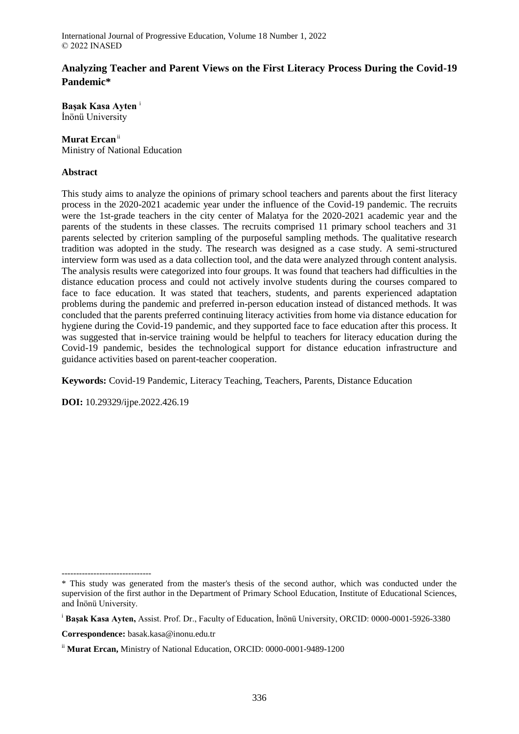# **Analyzing Teacher and Parent Views on the First Literacy Process During the Covid-19 Pandemic\***

**Başak Kasa Ayten** <sup>i</sup> İnönü University

## **Murat Ercan**ii

Ministry of National Education

### **Abstract**

This study aims to analyze the opinions of primary school teachers and parents about the first literacy process in the 2020-2021 academic year under the influence of the Covid-19 pandemic. The recruits were the 1st-grade teachers in the city center of Malatya for the 2020-2021 academic year and the parents of the students in these classes. The recruits comprised 11 primary school teachers and 31 parents selected by criterion sampling of the purposeful sampling methods. The qualitative research tradition was adopted in the study. The research was designed as a case study. A semi-structured interview form was used as a data collection tool, and the data were analyzed through content analysis. The analysis results were categorized into four groups. It was found that teachers had difficulties in the distance education process and could not actively involve students during the courses compared to face to face education. It was stated that teachers, students, and parents experienced adaptation problems during the pandemic and preferred in-person education instead of distanced methods. It was concluded that the parents preferred continuing literacy activities from home via distance education for hygiene during the Covid-19 pandemic, and they supported face to face education after this process. It was suggested that in-service training would be helpful to teachers for literacy education during the Covid-19 pandemic, besides the technological support for distance education infrastructure and guidance activities based on parent-teacher cooperation.

**Keywords:** Covid-19 Pandemic, Literacy Teaching, Teachers, Parents, Distance Education

**DOI:** 10.29329/ijpe.2022.426.19

**Correspondence:** basak.kasa@inonu.edu.tr

-------------------------------

<sup>\*</sup> This study was generated from the master's thesis of the second author, which was conducted under the supervision of the first author in the Department of Primary School Education, Institute of Educational Sciences, and İnönü University.

<sup>i</sup> **Başak Kasa Ayten,** Assist. Prof. Dr., Faculty of Education, İnönü University, ORCID: 0000-0001-5926-3380

ii **Murat Ercan,** Ministry of National Education, ORCID: 0000-0001-9489-1200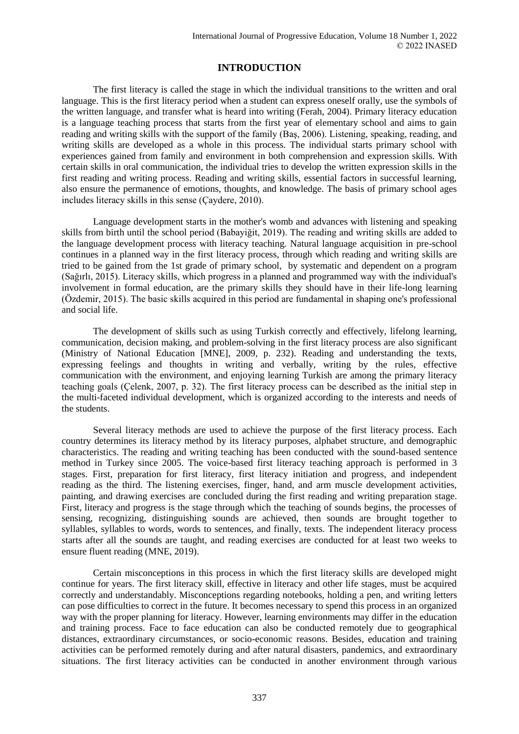# **INTRODUCTION**

The first literacy is called the stage in which the individual transitions to the written and oral language. This is the first literacy period when a student can express oneself orally, use the symbols of the written language, and transfer what is heard into writing (Ferah, 2004). Primary literacy education is a language teaching process that starts from the first year of elementary school and aims to gain reading and writing skills with the support of the family (Baş, 2006). Listening, speaking, reading, and writing skills are developed as a whole in this process. The individual starts primary school with experiences gained from family and environment in both comprehension and expression skills. With certain skills in oral communication, the individual tries to develop the written expression skills in the first reading and writing process. Reading and writing skills, essential factors in successful learning, also ensure the permanence of emotions, thoughts, and knowledge. The basis of primary school ages includes literacy skills in this sense (Çaydere, 2010).

Language development starts in the mother's womb and advances with listening and speaking skills from birth until the school period (Babayiğit, 2019). The reading and writing skills are added to the language development process with literacy teaching. Natural language acquisition in pre-school continues in a planned way in the first literacy process, through which reading and writing skills are tried to be gained from the 1st grade of primary school, by systematic and dependent on a program (Sağırlı, 2015). Literacy skills, which progress in a planned and programmed way with the individual's involvement in formal education, are the primary skills they should have in their life-long learning (Özdemir, 2015). The basic skills acquired in this period are fundamental in shaping one's professional and social life.

The development of skills such as using Turkish correctly and effectively, lifelong learning, communication, decision making, and problem-solving in the first literacy process are also significant (Ministry of National Education [MNE], 2009, p. 232). Reading and understanding the texts, expressing feelings and thoughts in writing and verbally, writing by the rules, effective communication with the environment, and enjoying learning Turkish are among the primary literacy teaching goals (Çelenk, 2007, p. 32). The first literacy process can be described as the initial step in the multi-faceted individual development, which is organized according to the interests and needs of the students.

Several literacy methods are used to achieve the purpose of the first literacy process. Each country determines its literacy method by its literacy purposes, alphabet structure, and demographic characteristics. The reading and writing teaching has been conducted with the sound-based sentence method in Turkey since 2005. The voice-based first literacy teaching approach is performed in 3 stages. First, preparation for first literacy, first literacy initiation and progress, and independent reading as the third. The listening exercises, finger, hand, and arm muscle development activities, painting, and drawing exercises are concluded during the first reading and writing preparation stage. First, literacy and progress is the stage through which the teaching of sounds begins, the processes of sensing, recognizing, distinguishing sounds are achieved, then sounds are brought together to syllables, syllables to words, words to sentences, and finally, texts. The independent literacy process starts after all the sounds are taught, and reading exercises are conducted for at least two weeks to ensure fluent reading (MNE, 2019).

Certain misconceptions in this process in which the first literacy skills are developed might continue for years. The first literacy skill, effective in literacy and other life stages, must be acquired correctly and understandably. Misconceptions regarding notebooks, holding a pen, and writing letters can pose difficulties to correct in the future. It becomes necessary to spend this process in an organized way with the proper planning for literacy. However, learning environments may differ in the education and training process. Face to face education can also be conducted remotely due to geographical distances, extraordinary circumstances, or socio-economic reasons. Besides, education and training activities can be performed remotely during and after natural disasters, pandemics, and extraordinary situations. The first literacy activities can be conducted in another environment through various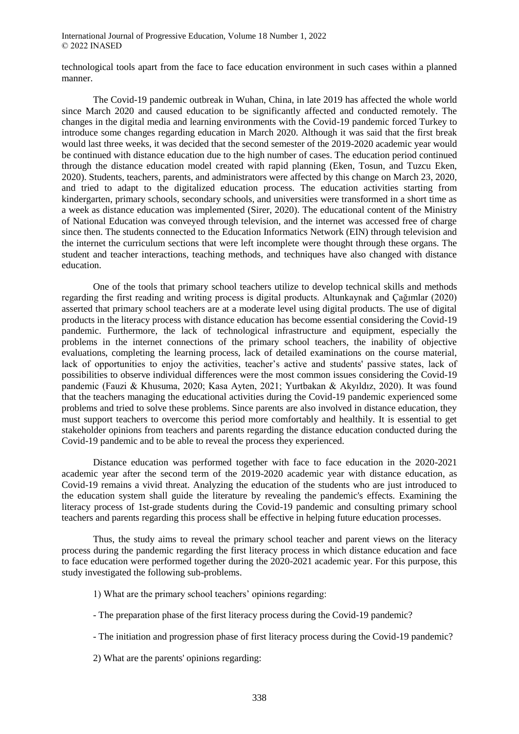technological tools apart from the face to face education environment in such cases within a planned manner.

The Covid-19 pandemic outbreak in Wuhan, China, in late 2019 has affected the whole world since March 2020 and caused education to be significantly affected and conducted remotely. The changes in the digital media and learning environments with the Covid-19 pandemic forced Turkey to introduce some changes regarding education in March 2020. Although it was said that the first break would last three weeks, it was decided that the second semester of the 2019-2020 academic year would be continued with distance education due to the high number of cases. The education period continued through the distance education model created with rapid planning (Eken, Tosun, and Tuzcu Eken, 2020). Students, teachers, parents, and administrators were affected by this change on March 23, 2020, and tried to adapt to the digitalized education process. The education activities starting from kindergarten, primary schools, secondary schools, and universities were transformed in a short time as a week as distance education was implemented (Sirer, 2020). The educational content of the Ministry of National Education was conveyed through television, and the internet was accessed free of charge since then. The students connected to the Education Informatics Network (EIN) through television and the internet the curriculum sections that were left incomplete were thought through these organs. The student and teacher interactions, teaching methods, and techniques have also changed with distance education.

One of the tools that primary school teachers utilize to develop technical skills and methods regarding the first reading and writing process is digital products. Altunkaynak and Çağımlar (2020) asserted that primary school teachers are at a moderate level using digital products. The use of digital products in the literacy process with distance education has become essential considering the Covid-19 pandemic. Furthermore, the lack of technological infrastructure and equipment, especially the problems in the internet connections of the primary school teachers, the inability of objective evaluations, completing the learning process, lack of detailed examinations on the course material, lack of opportunities to enjoy the activities, teacher's active and students' passive states, lack of possibilities to observe individual differences were the most common issues considering the Covid-19 pandemic (Fauzi & Khusuma, 2020; Kasa Ayten, 2021; Yurtbakan & Akyıldız, 2020). It was found that the teachers managing the educational activities during the Covid-19 pandemic experienced some problems and tried to solve these problems. Since parents are also involved in distance education, they must support teachers to overcome this period more comfortably and healthily. It is essential to get stakeholder opinions from teachers and parents regarding the distance education conducted during the Covid-19 pandemic and to be able to reveal the process they experienced.

Distance education was performed together with face to face education in the 2020-2021 academic year after the second term of the 2019-2020 academic year with distance education, as Covid-19 remains a vivid threat. Analyzing the education of the students who are just introduced to the education system shall guide the literature by revealing the pandemic's effects. Examining the literacy process of 1st-grade students during the Covid-19 pandemic and consulting primary school teachers and parents regarding this process shall be effective in helping future education processes.

Thus, the study aims to reveal the primary school teacher and parent views on the literacy process during the pandemic regarding the first literacy process in which distance education and face to face education were performed together during the 2020-2021 academic year. For this purpose, this study investigated the following sub-problems.

- 1) What are the primary school teachers' opinions regarding:
- The preparation phase of the first literacy process during the Covid-19 pandemic?
- The initiation and progression phase of first literacy process during the Covid-19 pandemic?
- 2) What are the parents' opinions regarding: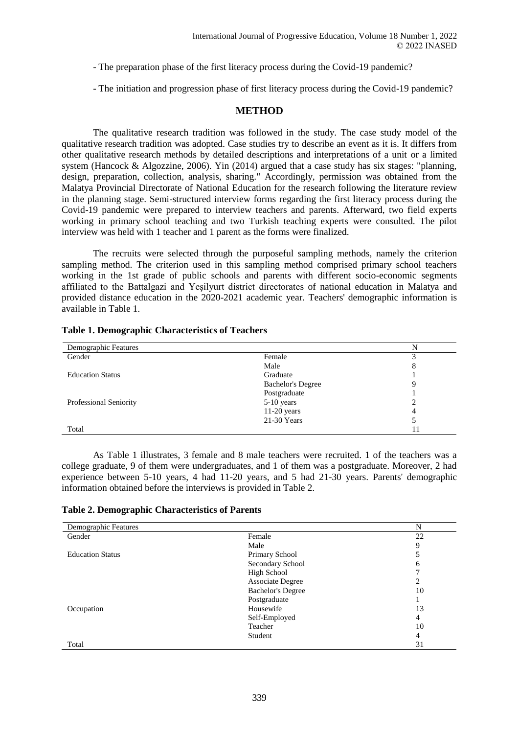- The preparation phase of the first literacy process during the Covid-19 pandemic?
- The initiation and progression phase of first literacy process during the Covid-19 pandemic?

### **METHOD**

The qualitative research tradition was followed in the study. The case study model of the qualitative research tradition was adopted. Case studies try to describe an event as it is. It differs from other qualitative research methods by detailed descriptions and interpretations of a unit or a limited system (Hancock & Algozzine, 2006). Yin (2014) argued that a case study has six stages: "planning, design, preparation, collection, analysis, sharing." Accordingly, permission was obtained from the Malatya Provincial Directorate of National Education for the research following the literature review in the planning stage. Semi-structured interview forms regarding the first literacy process during the Covid-19 pandemic were prepared to interview teachers and parents. Afterward, two field experts working in primary school teaching and two Turkish teaching experts were consulted. The pilot interview was held with 1 teacher and 1 parent as the forms were finalized.

The recruits were selected through the purposeful sampling methods, namely the criterion sampling method. The criterion used in this sampling method comprised primary school teachers working in the 1st grade of public schools and parents with different socio-economic segments affiliated to the Battalgazi and Yeşilyurt district directorates of national education in Malatya and provided distance education in the 2020-2021 academic year. Teachers' demographic information is available in Table 1.

| Demographic Features          |                          | N |
|-------------------------------|--------------------------|---|
| Gender                        | Female                   |   |
|                               | Male                     |   |
| <b>Education Status</b>       | Graduate                 |   |
|                               | <b>Bachelor's Degree</b> |   |
|                               | Postgraduate             |   |
| <b>Professional Seniority</b> | 5-10 years               |   |
|                               | $11-20$ years            |   |
|                               | 21-30 Years              |   |
| Total                         |                          |   |

#### **Table 1. Demographic Characteristics of Teachers**

As Table 1 illustrates, 3 female and 8 male teachers were recruited. 1 of the teachers was a college graduate, 9 of them were undergraduates, and 1 of them was a postgraduate. Moreover, 2 had experience between 5-10 years, 4 had 11-20 years, and 5 had 21-30 years. Parents' demographic information obtained before the interviews is provided in Table 2.

| Demographic Features    |                          | N              |
|-------------------------|--------------------------|----------------|
| Gender                  | Female                   | 22             |
|                         | Male                     | 9              |
| <b>Education Status</b> | Primary School           |                |
|                         | Secondary School         | 6              |
|                         | High School              |                |
|                         | <b>Associate Degree</b>  | 2              |
|                         | <b>Bachelor's Degree</b> | 10             |
|                         | Postgraduate             |                |
| Occupation              | Housewife                | 13             |
|                         | Self-Employed            | $\overline{4}$ |
|                         | Teacher                  | 10             |
|                         | Student                  | 4              |
| Total                   |                          | 31             |

**Table 2. Demographic Characteristics of Parents**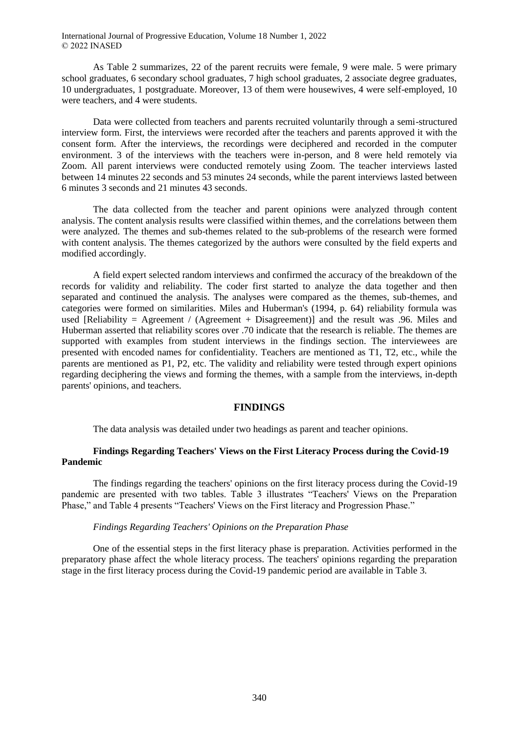As Table 2 summarizes, 22 of the parent recruits were female, 9 were male. 5 were primary school graduates, 6 secondary school graduates, 7 high school graduates, 2 associate degree graduates, 10 undergraduates, 1 postgraduate. Moreover, 13 of them were housewives, 4 were self-employed, 10 were teachers, and 4 were students.

Data were collected from teachers and parents recruited voluntarily through a semi-structured interview form. First, the interviews were recorded after the teachers and parents approved it with the consent form. After the interviews, the recordings were deciphered and recorded in the computer environment. 3 of the interviews with the teachers were in-person, and 8 were held remotely via Zoom. All parent interviews were conducted remotely using Zoom. The teacher interviews lasted between 14 minutes 22 seconds and 53 minutes 24 seconds, while the parent interviews lasted between 6 minutes 3 seconds and 21 minutes 43 seconds.

The data collected from the teacher and parent opinions were analyzed through content analysis. The content analysis results were classified within themes, and the correlations between them were analyzed. The themes and sub-themes related to the sub-problems of the research were formed with content analysis. The themes categorized by the authors were consulted by the field experts and modified accordingly.

A field expert selected random interviews and confirmed the accuracy of the breakdown of the records for validity and reliability. The coder first started to analyze the data together and then separated and continued the analysis. The analyses were compared as the themes, sub-themes, and categories were formed on similarities. Miles and Huberman's (1994, p. 64) reliability formula was used [Reliability = Agreement / (Agreement + Disagreement)] and the result was .96. Miles and Huberman asserted that reliability scores over .70 indicate that the research is reliable. The themes are supported with examples from student interviews in the findings section. The interviewees are presented with encoded names for confidentiality. Teachers are mentioned as T1, T2, etc., while the parents are mentioned as P1, P2, etc. The validity and reliability were tested through expert opinions regarding deciphering the views and forming the themes, with a sample from the interviews, in-depth parents' opinions, and teachers.

### **FINDINGS**

The data analysis was detailed under two headings as parent and teacher opinions.

#### **Findings Regarding Teachers' Views on the First Literacy Process during the Covid-19 Pandemic**

The findings regarding the teachers' opinions on the first literacy process during the Covid-19 pandemic are presented with two tables. Table 3 illustrates "Teachers' Views on the Preparation Phase," and Table 4 presents "Teachers' Views on the First literacy and Progression Phase."

#### *Findings Regarding Teachers' Opinions on the Preparation Phase*

One of the essential steps in the first literacy phase is preparation. Activities performed in the preparatory phase affect the whole literacy process. The teachers' opinions regarding the preparation stage in the first literacy process during the Covid-19 pandemic period are available in Table 3.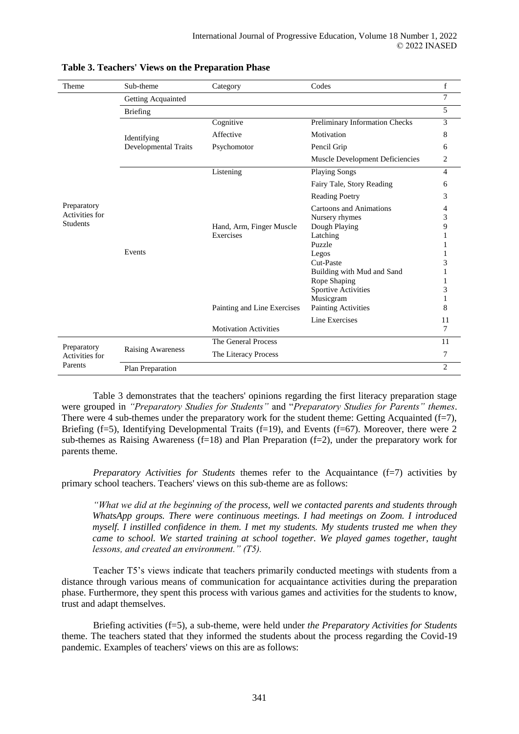| Theme           | Sub-theme                | Category                     | Codes                           | $\mathbf f$    |
|-----------------|--------------------------|------------------------------|---------------------------------|----------------|
|                 | Getting Acquainted       |                              |                                 | 7              |
|                 | <b>Briefing</b>          |                              |                                 | 5              |
|                 |                          | Cognitive                    | Preliminary Information Checks  | 3              |
|                 | Identifying              | Affective                    | Motivation                      | 8              |
|                 | Developmental Traits     | Psychomotor                  | Pencil Grip                     | 6              |
|                 |                          |                              | Muscle Development Deficiencies | 2              |
|                 |                          | Listening                    | <b>Playing Songs</b>            | $\overline{4}$ |
|                 |                          |                              | Fairy Tale, Story Reading       | 6              |
|                 |                          |                              | <b>Reading Poetry</b>           | 3              |
| Preparatory     |                          |                              | Cartoons and Animations         | 4              |
| Activities for  |                          |                              | Nursery rhymes                  | 3              |
| <b>Students</b> |                          | Hand, Arm, Finger Muscle     | Dough Playing                   | 9              |
|                 |                          | Exercises                    | Latching                        |                |
|                 |                          |                              | Puzzle                          |                |
|                 | Events                   |                              | Legos                           |                |
|                 |                          |                              | Cut-Paste                       | 3              |
|                 |                          |                              | Building with Mud and Sand      |                |
|                 |                          |                              | Rope Shaping                    |                |
|                 |                          |                              | <b>Sportive Activities</b>      | 3              |
|                 |                          |                              | Musicgram                       |                |
|                 |                          | Painting and Line Exercises  | <b>Painting Activities</b>      | 8              |
|                 |                          |                              | Line Exercises                  | 11             |
|                 |                          | <b>Motivation Activities</b> |                                 | 7              |
| Preparatory     |                          | The General Process          |                                 | 11             |
| Activities for  | <b>Raising Awareness</b> | The Literacy Process         |                                 | 7              |
| Parents         | Plan Preparation         |                              |                                 | $\overline{c}$ |

### **Table 3. Teachers' Views on the Preparation Phase**

Table 3 demonstrates that the teachers' opinions regarding the first literacy preparation stage were grouped in *"Preparatory Studies for Students"* and "*Preparatory Studies for Parents" themes*. There were 4 sub-themes under the preparatory work for the student theme: Getting Acquainted  $(f=7)$ , Briefing (f=5), Identifying Developmental Traits (f=19), and Events (f=67). Moreover, there were 2 sub-themes as Raising Awareness  $(f=18)$  and Plan Preparation  $(f=2)$ , under the preparatory work for parents theme.

*Preparatory Activities for Students* themes refer to the Acquaintance (f=7) activities by primary school teachers. Teachers' views on this sub-theme are as follows:

*"What we did at the beginning of the process, well we contacted parents and students through WhatsApp groups. There were continuous meetings. I had meetings on Zoom. I introduced myself. I instilled confidence in them. I met my students. My students trusted me when they came to school. We started training at school together. We played games together, taught lessons, and created an environment." (T5).*

Teacher T5's views indicate that teachers primarily conducted meetings with students from a distance through various means of communication for acquaintance activities during the preparation phase. Furthermore, they spent this process with various games and activities for the students to know, trust and adapt themselves.

Briefing activities (f=5), a sub-theme, were held under *the Preparatory Activities for Students* theme. The teachers stated that they informed the students about the process regarding the Covid-19 pandemic. Examples of teachers' views on this are as follows: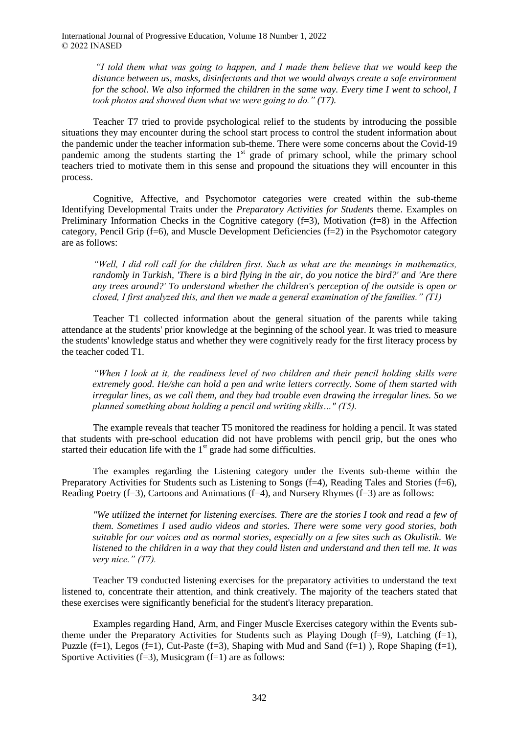*"I told them what was going to happen, and I made them believe that we would keep the distance between us, masks, disinfectants and that we would always create a safe environment for the school. We also informed the children in the same way. Every time I went to school, I took photos and showed them what we were going to do." (T7).*

Teacher T7 tried to provide psychological relief to the students by introducing the possible situations they may encounter during the school start process to control the student information about the pandemic under the teacher information sub-theme. There were some concerns about the Covid-19 pandemic among the students starting the  $1<sup>st</sup>$  grade of primary school, while the primary school teachers tried to motivate them in this sense and propound the situations they will encounter in this process.

Cognitive, Affective, and Psychomotor categories were created within the sub-theme Identifying Developmental Traits under the *Preparatory Activities for Students* theme. Examples on Preliminary Information Checks in the Cognitive category  $(f=3)$ . Motivation  $(f=8)$  in the Affection category, Pencil Grip (f=6), and Muscle Development Deficiencies (f=2) in the Psychomotor category are as follows:

*"Well, I did roll call for the children first. Such as what are the meanings in mathematics, randomly in Turkish, 'There is a bird flying in the air, do you notice the bird?' and 'Are there any trees around?' To understand whether the children's perception of the outside is open or closed, I first analyzed this, and then we made a general examination of the families." (T1)*

Teacher T1 collected information about the general situation of the parents while taking attendance at the students' prior knowledge at the beginning of the school year. It was tried to measure the students' knowledge status and whether they were cognitively ready for the first literacy process by the teacher coded T1.

*"When I look at it, the readiness level of two children and their pencil holding skills were extremely good. He/she can hold a pen and write letters correctly. Some of them started with irregular lines, as we call them, and they had trouble even drawing the irregular lines. So we planned something about holding a pencil and writing skills…" (T5).*

The example reveals that teacher T5 monitored the readiness for holding a pencil. It was stated that students with pre-school education did not have problems with pencil grip, but the ones who started their education life with the  $1<sup>st</sup>$  grade had some difficulties.

The examples regarding the Listening category under the Events sub-theme within the Preparatory Activities for Students such as Listening to Songs (f=4), Reading Tales and Stories (f=6), Reading Poetry  $(f=3)$ , Cartoons and Animations  $(f=4)$ , and Nursery Rhymes  $(f=3)$  are as follows:

*"We utilized the internet for listening exercises. There are the stories I took and read a few of them. Sometimes I used audio videos and stories. There were some very good stories, both suitable for our voices and as normal stories, especially on a few sites such as Okulistik. We listened to the children in a way that they could listen and understand and then tell me. It was very nice." (T7).*

Teacher T9 conducted listening exercises for the preparatory activities to understand the text listened to, concentrate their attention, and think creatively. The majority of the teachers stated that these exercises were significantly beneficial for the student's literacy preparation.

Examples regarding Hand, Arm, and Finger Muscle Exercises category within the Events subtheme under the Preparatory Activities for Students such as Playing Dough (f=9), Latching (f=1), Puzzle (f=1), Legos (f=1), Cut-Paste (f=3), Shaping with Mud and Sand (f=1)), Rope Shaping (f=1), Sportive Activities  $(f=3)$ , Musicgram  $(f=1)$  are as follows: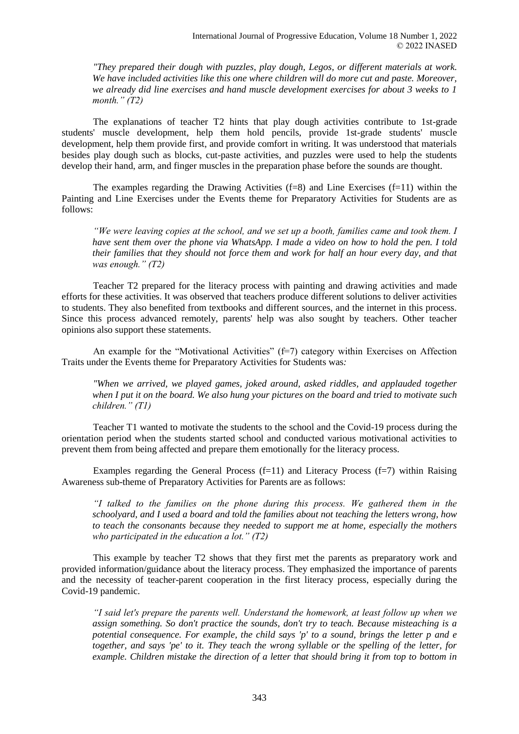*"They prepared their dough with puzzles, play dough, Legos, or different materials at work. We have included activities like this one where children will do more cut and paste. Moreover, we already did line exercises and hand muscle development exercises for about 3 weeks to 1 month." (T2)*

The explanations of teacher T2 hints that play dough activities contribute to 1st-grade students' muscle development, help them hold pencils, provide 1st-grade students' muscle development, help them provide first, and provide comfort in writing. It was understood that materials besides play dough such as blocks, cut-paste activities, and puzzles were used to help the students develop their hand, arm, and finger muscles in the preparation phase before the sounds are thought.

The examples regarding the Drawing Activities  $(f=8)$  and Line Exercises  $(f=11)$  within the Painting and Line Exercises under the Events theme for Preparatory Activities for Students are as follows:

*"We were leaving copies at the school, and we set up a booth, families came and took them. I have sent them over the phone via WhatsApp. I made a video on how to hold the pen. I told their families that they should not force them and work for half an hour every day, and that was enough." (T2)*

Teacher T2 prepared for the literacy process with painting and drawing activities and made efforts for these activities. It was observed that teachers produce different solutions to deliver activities to students. They also benefited from textbooks and different sources, and the internet in this process. Since this process advanced remotely, parents' help was also sought by teachers. Other teacher opinions also support these statements.

An example for the "Motivational Activities"  $(f=7)$  category within Exercises on Affection Traits under the Events theme for Preparatory Activities for Students was*:*

*"When we arrived, we played games, joked around, asked riddles, and applauded together when I put it on the board. We also hung your pictures on the board and tried to motivate such children." (T1)*

Teacher T1 wanted to motivate the students to the school and the Covid-19 process during the orientation period when the students started school and conducted various motivational activities to prevent them from being affected and prepare them emotionally for the literacy process.

Examples regarding the General Process  $(f=11)$  and Literacy Process  $(f=7)$  within Raising Awareness sub-theme of Preparatory Activities for Parents are as follows:

*"I talked to the families on the phone during this process. We gathered them in the schoolyard, and I used a board and told the families about not teaching the letters wrong, how to teach the consonants because they needed to support me at home, especially the mothers who participated in the education a lot." (T2)* 

This example by teacher T2 shows that they first met the parents as preparatory work and provided information/guidance about the literacy process. They emphasized the importance of parents and the necessity of teacher-parent cooperation in the first literacy process, especially during the Covid-19 pandemic.

*"I said let's prepare the parents well. Understand the homework, at least follow up when we assign something. So don't practice the sounds, don't try to teach. Because misteaching is a potential consequence. For example, the child says 'p' to a sound, brings the letter p and e together, and says 'pe' to it. They teach the wrong syllable or the spelling of the letter, for example. Children mistake the direction of a letter that should bring it from top to bottom in*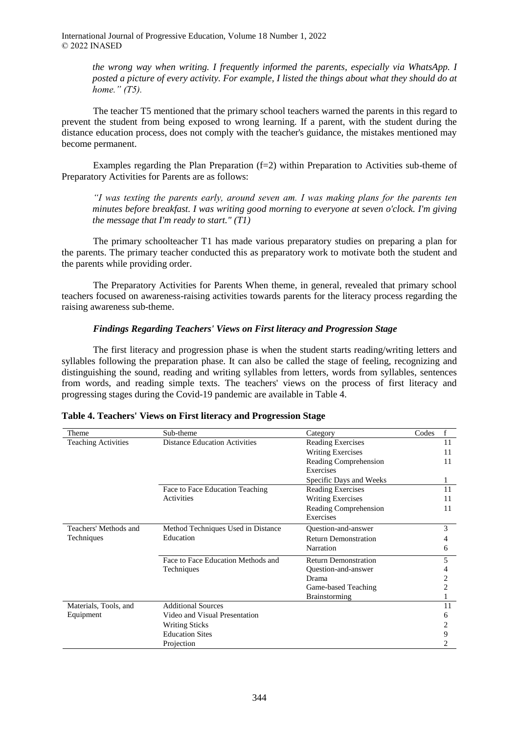> *the wrong way when writing. I frequently informed the parents, especially via WhatsApp. I posted a picture of every activity. For example, I listed the things about what they should do at home." (T5).*

The teacher T5 mentioned that the primary school teachers warned the parents in this regard to prevent the student from being exposed to wrong learning. If a parent, with the student during the distance education process, does not comply with the teacher's guidance, the mistakes mentioned may become permanent.

Examples regarding the Plan Preparation (f=2) within Preparation to Activities sub-theme of Preparatory Activities for Parents are as follows:

*"I was texting the parents early, around seven am. I was making plans for the parents ten minutes before breakfast. I was writing good morning to everyone at seven o'clock. I'm giving the message that I'm ready to start." (T1)*

The primary schoolteacher T1 has made various preparatory studies on preparing a plan for the parents. The primary teacher conducted this as preparatory work to motivate both the student and the parents while providing order.

The Preparatory Activities for Parents When theme, in general, revealed that primary school teachers focused on awareness-raising activities towards parents for the literacy process regarding the raising awareness sub-theme.

### *Findings Regarding Teachers' Views on First literacy and Progression Stage*

The first literacy and progression phase is when the student starts reading/writing letters and syllables following the preparation phase. It can also be called the stage of feeling, recognizing and distinguishing the sound, reading and writing syllables from letters, words from syllables, sentences from words, and reading simple texts. The teachers' views on the process of first literacy and progressing stages during the Covid-19 pandemic are available in Table 4.

| Theme                      | Sub-theme                            | Category                    | Codes | f  |
|----------------------------|--------------------------------------|-----------------------------|-------|----|
| <b>Teaching Activities</b> | <b>Distance Education Activities</b> | <b>Reading Exercises</b>    |       | 11 |
|                            |                                      | <b>Writing Exercises</b>    |       | 11 |
|                            |                                      | Reading Comprehension       |       | 11 |
|                            |                                      | Exercises                   |       |    |
|                            |                                      | Specific Days and Weeks     |       |    |
|                            | Face to Face Education Teaching      | Reading Exercises           |       | 11 |
|                            | Activities                           | <b>Writing Exercises</b>    |       | 11 |
|                            |                                      | Reading Comprehension       |       | 11 |
|                            |                                      | Exercises                   |       |    |
| Teachers' Methods and      | Method Techniques Used in Distance   | Question-and-answer         |       | 3  |
| Techniques                 | Education                            | <b>Return Demonstration</b> |       |    |
|                            |                                      | Narration                   |       | 6  |
|                            | Face to Face Education Methods and   | <b>Return Demonstration</b> |       | 5  |
|                            | Techniques                           | Question-and-answer         |       |    |
|                            |                                      | Drama                       |       | 2  |
|                            |                                      | Game-based Teaching         |       | 2  |
|                            |                                      | <b>Brainstorming</b>        |       |    |
| Materials, Tools, and      | <b>Additional Sources</b>            |                             |       | 11 |
| Equipment                  | Video and Visual Presentation        |                             |       | 6  |
|                            | <b>Writing Sticks</b>                |                             |       | 2  |
|                            | <b>Education Sites</b>               |                             |       | 9  |
|                            | Projection                           |                             |       |    |

| Table 4. Teachers' Views on First literacy and Progression Stage |  |  |  |
|------------------------------------------------------------------|--|--|--|
|                                                                  |  |  |  |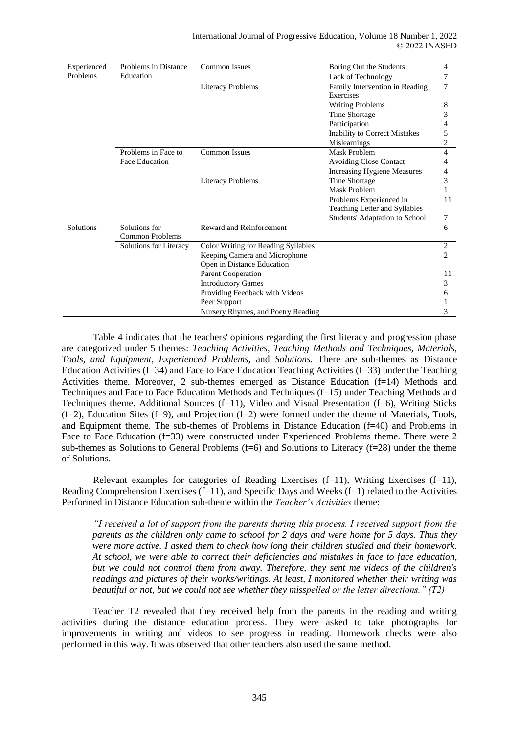| Experienced      | Problems in Distance   | <b>Common Issues</b><br>Boring Out the Students |                                             | 4  |
|------------------|------------------------|-------------------------------------------------|---------------------------------------------|----|
| Problems         | Education              |                                                 | Lack of Technology                          |    |
|                  |                        | <b>Literacy Problems</b>                        | Family Intervention in Reading<br>Exercises | 7  |
|                  |                        |                                                 | <b>Writing Problems</b>                     | 8  |
|                  |                        |                                                 | Time Shortage                               | 3  |
|                  |                        |                                                 | Participation                               |    |
|                  |                        |                                                 | Inability to Correct Mistakes               | 5  |
|                  |                        |                                                 | Mislearnings                                | 2  |
|                  | Problems in Face to    | <b>Common Issues</b>                            | Mask Problem                                | 4  |
|                  | <b>Face Education</b>  |                                                 | <b>Avoiding Close Contact</b>               | 4  |
|                  |                        |                                                 | <b>Increasing Hygiene Measures</b>          | 4  |
|                  |                        | <b>Literacy Problems</b>                        | Time Shortage                               | 3  |
|                  |                        |                                                 | Mask Problem                                |    |
|                  |                        |                                                 | Problems Experienced in                     | 11 |
|                  |                        |                                                 | Teaching Letter and Syllables               |    |
|                  |                        |                                                 | Students' Adaptation to School              | 7  |
| <b>Solutions</b> | Solutions for          | Reward and Reinforcement                        |                                             | 6  |
|                  | <b>Common Problems</b> |                                                 |                                             |    |
|                  | Solutions for Literacy | <b>Color Writing for Reading Syllables</b>      |                                             | 2  |
|                  |                        | Keeping Camera and Microphone                   |                                             | 2  |
|                  |                        | Open in Distance Education                      |                                             |    |
|                  |                        | Parent Cooperation                              |                                             | 11 |
|                  |                        | <b>Introductory Games</b>                       |                                             | 3  |
|                  |                        | Providing Feedback with Videos                  |                                             | 6  |
|                  |                        | Peer Support                                    |                                             |    |
|                  |                        | Nursery Rhymes, and Poetry Reading              |                                             | 3  |

Table 4 indicates that the teachers' opinions regarding the first literacy and progression phase are categorized under 5 themes: *Teaching Activities, Teaching Methods and Techniques, Materials, Tools, and Equipment, Experienced Problems,* and *Solutions.* There are sub-themes as Distance Education Activities (f=34) and Face to Face Education Teaching Activities (f=33) under the Teaching Activities theme. Moreover, 2 sub-themes emerged as Distance Education (f=14) Methods and Techniques and Face to Face Education Methods and Techniques (f=15) under Teaching Methods and Techniques theme. Additional Sources (f=11), Video and Visual Presentation (f=6), Writing Sticks  $(f=2)$ , Education Sites  $(f=9)$ , and Projection  $(f=2)$  were formed under the theme of Materials, Tools, and Equipment theme. The sub-themes of Problems in Distance Education (f=40) and Problems in Face to Face Education (f=33) were constructed under Experienced Problems theme. There were 2 sub-themes as Solutions to General Problems  $(f=6)$  and Solutions to Literacy  $(f=28)$  under the theme of Solutions.

Relevant examples for categories of Reading Exercises  $(f=11)$ , Writing Exercises  $(f=11)$ , Reading Comprehension Exercises  $(f=1)$ , and Specific Days and Weeks  $(f=1)$  related to the Activities Performed in Distance Education sub-theme within the *Teacher's Activities* theme:

*"I received a lot of support from the parents during this process. I received support from the parents as the children only came to school for 2 days and were home for 5 days. Thus they were more active. I asked them to check how long their children studied and their homework. At school, we were able to correct their deficiencies and mistakes in face to face education, but we could not control them from away. Therefore, they sent me videos of the children's readings and pictures of their works/writings. At least, I monitored whether their writing was beautiful or not, but we could not see whether they misspelled or the letter directions." (T2)*

Teacher T2 revealed that they received help from the parents in the reading and writing activities during the distance education process. They were asked to take photographs for improvements in writing and videos to see progress in reading. Homework checks were also performed in this way. It was observed that other teachers also used the same method.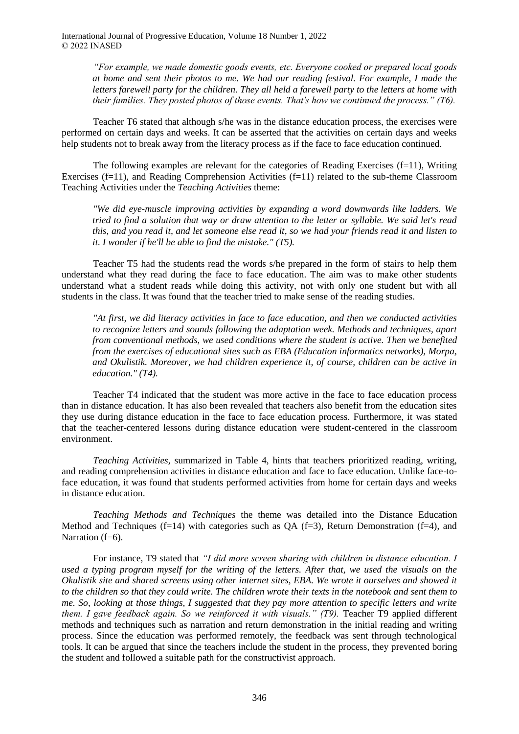> *"For example, we made domestic goods events, etc. Everyone cooked or prepared local goods at home and sent their photos to me. We had our reading festival. For example, I made the letters farewell party for the children. They all held a farewell party to the letters at home with their families. They posted photos of those events. That's how we continued the process." (T6).*

Teacher T6 stated that although s/he was in the distance education process, the exercises were performed on certain days and weeks. It can be asserted that the activities on certain days and weeks help students not to break away from the literacy process as if the face to face education continued.

The following examples are relevant for the categories of Reading Exercises (f=11), Writing Exercises (f=11), and Reading Comprehension Activities (f=11) related to the sub-theme Classroom Teaching Activities under the *Teaching Activities* theme:

*"We did eye-muscle improving activities by expanding a word downwards like ladders. We tried to find a solution that way or draw attention to the letter or syllable. We said let's read this, and you read it, and let someone else read it, so we had your friends read it and listen to it. I wonder if he'll be able to find the mistake." (T5).*

Teacher T5 had the students read the words s/he prepared in the form of stairs to help them understand what they read during the face to face education. The aim was to make other students understand what a student reads while doing this activity, not with only one student but with all students in the class. It was found that the teacher tried to make sense of the reading studies.

*"At first, we did literacy activities in face to face education, and then we conducted activities to recognize letters and sounds following the adaptation week. Methods and techniques, apart from conventional methods, we used conditions where the student is active. Then we benefited from the exercises of educational sites such as EBA (Education informatics networks), Morpa, and Okulistik. Moreover, we had children experience it, of course, children can be active in education." (T4).*

Teacher T4 indicated that the student was more active in the face to face education process than in distance education. It has also been revealed that teachers also benefit from the education sites they use during distance education in the face to face education process. Furthermore, it was stated that the teacher-centered lessons during distance education were student-centered in the classroom environment.

*Teaching Activities,* summarized in Table 4, hints that teachers prioritized reading, writing, and reading comprehension activities in distance education and face to face education. Unlike face-toface education, it was found that students performed activities from home for certain days and weeks in distance education.

*Teaching Methods and Techniques* the theme was detailed into the Distance Education Method and Techniques (f=14) with categories such as QA (f=3), Return Demonstration (f=4), and Narration (f=6).

For instance, T9 stated that *"I did more screen sharing with children in distance education. I used a typing program myself for the writing of the letters. After that, we used the visuals on the Okulistik site and shared screens using other internet sites, EBA. We wrote it ourselves and showed it to the children so that they could write. The children wrote their texts in the notebook and sent them to me. So, looking at those things, I suggested that they pay more attention to specific letters and write them. I gave feedback again. So we reinforced it with visuals." (T9).* Teacher T9 applied different methods and techniques such as narration and return demonstration in the initial reading and writing process. Since the education was performed remotely, the feedback was sent through technological tools. It can be argued that since the teachers include the student in the process, they prevented boring the student and followed a suitable path for the constructivist approach.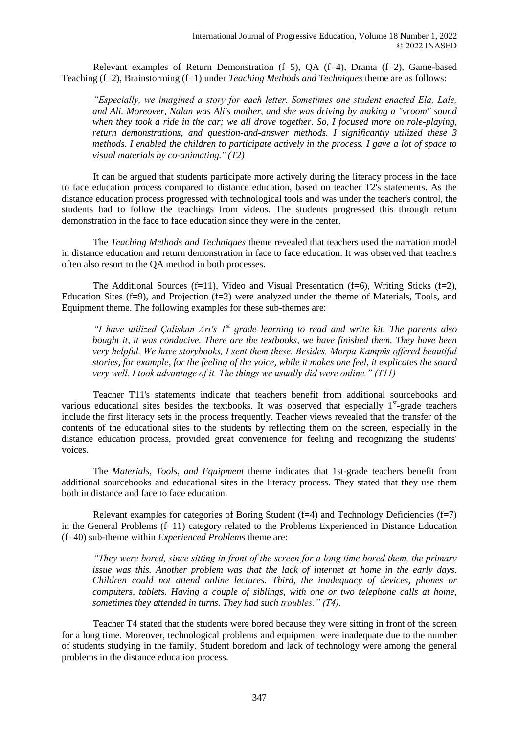Relevant examples of Return Demonstration (f=5), QA (f=4), Drama (f=2), Game-based Teaching (f=2), Brainstorming (f=1) under *Teaching Methods and Techniques* theme are as follows:

*"Especially, we imagined a story for each letter. Sometimes one student enacted Ela, Lale, and Ali. Moreover, Nalan was Ali's mother, and she was driving by making a "vroom" sound when they took a ride in the car; we all drove together. So, I focused more on role-playing, return demonstrations, and question-and-answer methods. I significantly utilized these 3 methods. I enabled the children to participate actively in the process. I gave a lot of space to visual materials by co-animating." (T2)*

It can be argued that students participate more actively during the literacy process in the face to face education process compared to distance education, based on teacher T2's statements. As the distance education process progressed with technological tools and was under the teacher's control, the students had to follow the teachings from videos. The students progressed this through return demonstration in the face to face education since they were in the center.

The *Teaching Methods and Techniques* theme revealed that teachers used the narration model in distance education and return demonstration in face to face education. It was observed that teachers often also resort to the QA method in both processes.

The Additional Sources  $(f=11)$ , Video and Visual Presentation  $(f=6)$ , Writing Sticks  $(f=2)$ , Education Sites (f=9), and Projection (f=2) were analyzed under the theme of Materials, Tools, and Equipment theme. The following examples for these sub-themes are:

*"I have utilized Çaliskan Arı's 1st grade learning to read and write kit. The parents also bought it, it was conducive. There are the textbooks, we have finished them. They have been very helpful. We have storybooks, I sent them these. Besides, Morpa Kampüs offered beautiful stories, for example, for the feeling of the voice, while it makes one feel, it explicates the sound very well. I took advantage of it. The things we usually did were online." (T11)*

Teacher T11's statements indicate that teachers benefit from additional sourcebooks and various educational sites besides the textbooks. It was observed that especially  $1<sup>st</sup>$ -grade teachers include the first literacy sets in the process frequently. Teacher views revealed that the transfer of the contents of the educational sites to the students by reflecting them on the screen, especially in the distance education process, provided great convenience for feeling and recognizing the students' voices.

The *Materials, Tools, and Equipment* theme indicates that 1st-grade teachers benefit from additional sourcebooks and educational sites in the literacy process. They stated that they use them both in distance and face to face education.

Relevant examples for categories of Boring Student ( $f=4$ ) and Technology Deficiencies ( $f=7$ ) in the General Problems  $(f=11)$  category related to the Problems Experienced in Distance Education (f=40) sub-theme within *Experienced Problems* theme are:

*"They were bored, since sitting in front of the screen for a long time bored them, the primary issue was this. Another problem was that the lack of internet at home in the early days. Children could not attend online lectures. Third, the inadequacy of devices, phones or computers, tablets. Having a couple of siblings, with one or two telephone calls at home, sometimes they attended in turns. They had such troubles." (T4).*

Teacher T4 stated that the students were bored because they were sitting in front of the screen for a long time. Moreover, technological problems and equipment were inadequate due to the number of students studying in the family. Student boredom and lack of technology were among the general problems in the distance education process.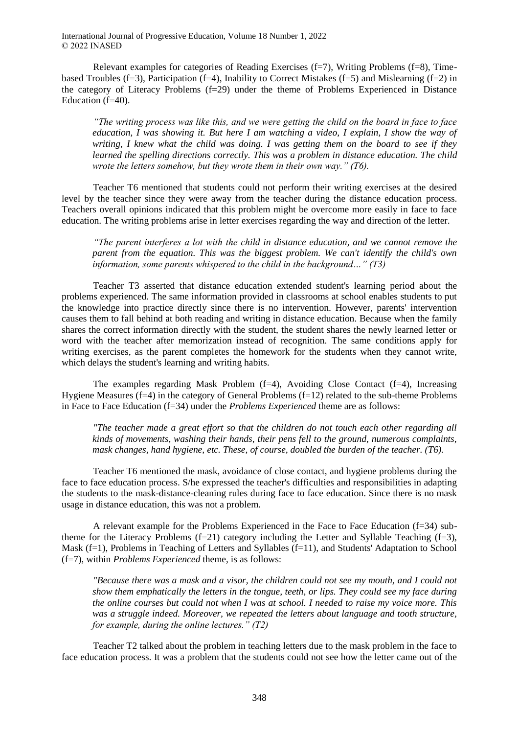Relevant examples for categories of Reading Exercises (f=7), Writing Problems (f=8), Timebased Troubles (f=3), Participation (f=4), Inability to Correct Mistakes (f=5) and Mislearning (f=2) in the category of Literacy Problems (f=29) under the theme of Problems Experienced in Distance Education (f=40).

*"The writing process was like this, and we were getting the child on the board in face to face education, I was showing it. But here I am watching a video, I explain, I show the way of writing, I knew what the child was doing. I was getting them on the board to see if they learned the spelling directions correctly. This was a problem in distance education. The child wrote the letters somehow, but they wrote them in their own way." (T6).*

Teacher T6 mentioned that students could not perform their writing exercises at the desired level by the teacher since they were away from the teacher during the distance education process. Teachers overall opinions indicated that this problem might be overcome more easily in face to face education. The writing problems arise in letter exercises regarding the way and direction of the letter.

*"The parent interferes a lot with the child in distance education, and we cannot remove the parent from the equation. This was the biggest problem. We can't identify the child's own information, some parents whispered to the child in the background…" (T3)*

Teacher T3 asserted that distance education extended student's learning period about the problems experienced. The same information provided in classrooms at school enables students to put the knowledge into practice directly since there is no intervention. However, parents' intervention causes them to fall behind at both reading and writing in distance education. Because when the family shares the correct information directly with the student, the student shares the newly learned letter or word with the teacher after memorization instead of recognition. The same conditions apply for writing exercises, as the parent completes the homework for the students when they cannot write, which delays the student's learning and writing habits.

The examples regarding Mask Problem (f=4), Avoiding Close Contact (f=4), Increasing Hygiene Measures  $(f=4)$  in the category of General Problems  $(f=12)$  related to the sub-theme Problems in Face to Face Education (f=34) under the *Problems Experienced* theme are as follows:

*"The teacher made a great effort so that the children do not touch each other regarding all kinds of movements, washing their hands, their pens fell to the ground, numerous complaints, mask changes, hand hygiene, etc. These, of course, doubled the burden of the teacher. (T6).*

Teacher T6 mentioned the mask, avoidance of close contact, and hygiene problems during the face to face education process. S/he expressed the teacher's difficulties and responsibilities in adapting the students to the mask-distance-cleaning rules during face to face education. Since there is no mask usage in distance education, this was not a problem.

A relevant example for the Problems Experienced in the Face to Face Education (f=34) subtheme for the Literacy Problems  $(f=21)$  category including the Letter and Syllable Teaching  $(f=3)$ , Mask (f=1), Problems in Teaching of Letters and Syllables (f=11), and Students' Adaptation to School (f=7), within *Problems Experienced* theme, is as follows:

*"Because there was a mask and a visor, the children could not see my mouth, and I could not show them emphatically the letters in the tongue, teeth, or lips. They could see my face during the online courses but could not when I was at school. I needed to raise my voice more. This was a struggle indeed. Moreover, we repeated the letters about language and tooth structure, for example, during the online lectures." (T2)*

Teacher T2 talked about the problem in teaching letters due to the mask problem in the face to face education process. It was a problem that the students could not see how the letter came out of the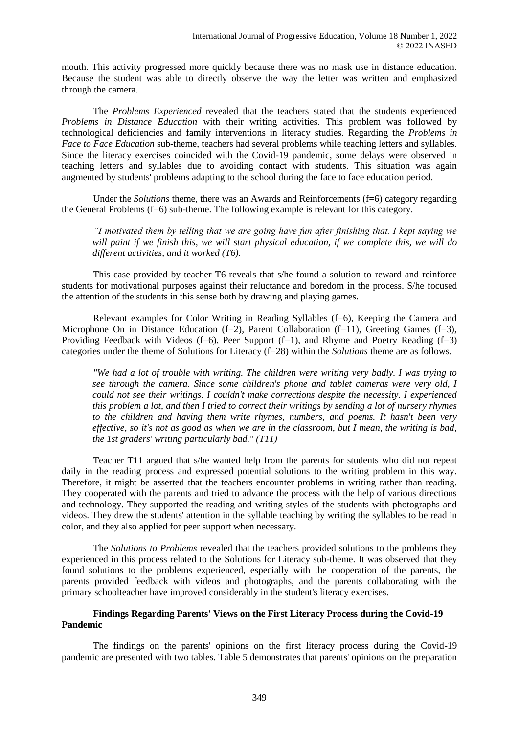mouth. This activity progressed more quickly because there was no mask use in distance education. Because the student was able to directly observe the way the letter was written and emphasized through the camera.

The *Problems Experienced* revealed that the teachers stated that the students experienced *Problems in Distance Education* with their writing activities. This problem was followed by technological deficiencies and family interventions in literacy studies. Regarding the *Problems in Face to Face Education* sub-theme, teachers had several problems while teaching letters and syllables. Since the literacy exercises coincided with the Covid-19 pandemic, some delays were observed in teaching letters and syllables due to avoiding contact with students. This situation was again augmented by students' problems adapting to the school during the face to face education period.

Under the *Solutions* theme, there was an Awards and Reinforcements (f=6) category regarding the General Problems (f=6) sub-theme. The following example is relevant for this category.

*"I motivated them by telling that we are going have fun after finishing that. I kept saying we will paint if we finish this, we will start physical education, if we complete this, we will do different activities, and it worked (T6).*

This case provided by teacher T6 reveals that s/he found a solution to reward and reinforce students for motivational purposes against their reluctance and boredom in the process. S/he focused the attention of the students in this sense both by drawing and playing games.

Relevant examples for Color Writing in Reading Syllables (f=6), Keeping the Camera and Microphone On in Distance Education (f=2), Parent Collaboration (f=11), Greeting Games (f=3), Providing Feedback with Videos (f=6), Peer Support (f=1), and Rhyme and Poetry Reading (f=3) categories under the theme of Solutions for Literacy (f=28) within the *Solutions* theme are as follows.

*"We had a lot of trouble with writing. The children were writing very badly. I was trying to see through the camera. Since some children's phone and tablet cameras were very old, I could not see their writings. I couldn't make corrections despite the necessity. I experienced this problem a lot, and then I tried to correct their writings by sending a lot of nursery rhymes to the children and having them write rhymes, numbers, and poems. It hasn't been very effective, so it's not as good as when we are in the classroom, but I mean, the writing is bad, the 1st graders' writing particularly bad." (T11)*

Teacher T11 argued that s/he wanted help from the parents for students who did not repeat daily in the reading process and expressed potential solutions to the writing problem in this way. Therefore, it might be asserted that the teachers encounter problems in writing rather than reading. They cooperated with the parents and tried to advance the process with the help of various directions and technology. They supported the reading and writing styles of the students with photographs and videos. They drew the students' attention in the syllable teaching by writing the syllables to be read in color, and they also applied for peer support when necessary.

The *Solutions to Problems* revealed that the teachers provided solutions to the problems they experienced in this process related to the Solutions for Literacy sub-theme. It was observed that they found solutions to the problems experienced, especially with the cooperation of the parents, the parents provided feedback with videos and photographs, and the parents collaborating with the primary schoolteacher have improved considerably in the student's literacy exercises.

### **Findings Regarding Parents' Views on the First Literacy Process during the Covid-19 Pandemic**

The findings on the parents' opinions on the first literacy process during the Covid-19 pandemic are presented with two tables. Table 5 demonstrates that parents' opinions on the preparation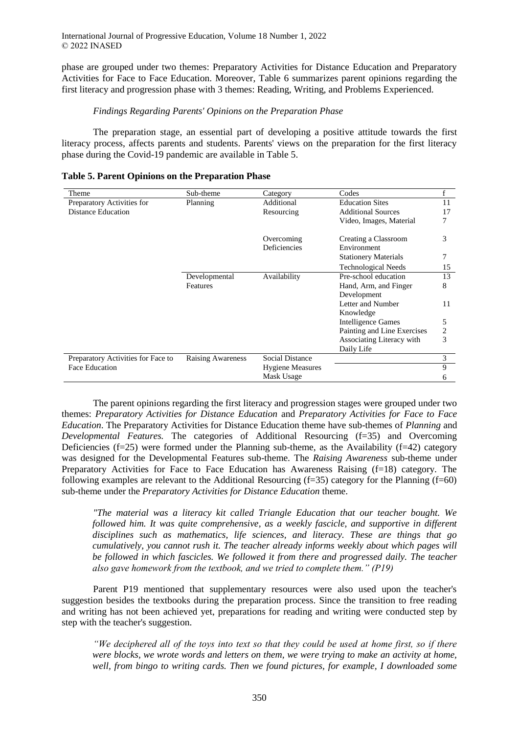phase are grouped under two themes: Preparatory Activities for Distance Education and Preparatory Activities for Face to Face Education. Moreover, Table 6 summarizes parent opinions regarding the first literacy and progression phase with 3 themes: Reading, Writing, and Problems Experienced.

### *Findings Regarding Parents' Opinions on the Preparation Phase*

The preparation stage, an essential part of developing a positive attitude towards the first literacy process, affects parents and students. Parents' views on the preparation for the first literacy phase during the Covid-19 pandemic are available in Table 5.

| Theme                              | Sub-theme                | Category                             | Codes                       | f  |
|------------------------------------|--------------------------|--------------------------------------|-----------------------------|----|
| Preparatory Activities for         | Planning                 | <b>Education Sites</b><br>Additional |                             | 11 |
| Distance Education                 |                          | Resourcing                           | <b>Additional Sources</b>   | 17 |
|                                    |                          |                                      | Video, Images, Material     | 7  |
|                                    |                          | Overcoming                           | Creating a Classroom        | 3  |
|                                    |                          | Deficiencies                         | Environment                 |    |
|                                    |                          |                                      | <b>Stationery Materials</b> | 7  |
|                                    |                          |                                      | <b>Technological Needs</b>  | 15 |
|                                    | Developmental            | Availability                         | Pre-school education        | 13 |
|                                    | <b>Features</b>          |                                      | Hand, Arm, and Finger       | 8  |
|                                    |                          |                                      | Development                 |    |
|                                    |                          |                                      | Letter and Number           | 11 |
|                                    |                          |                                      | Knowledge                   |    |
|                                    |                          |                                      | <b>Intelligence Games</b>   | 5  |
|                                    |                          |                                      | Painting and Line Exercises | 2  |
|                                    |                          |                                      | Associating Literacy with   | 3  |
|                                    |                          |                                      | Daily Life                  |    |
| Preparatory Activities for Face to | <b>Raising Awareness</b> | <b>Social Distance</b>               |                             | 3  |
| <b>Face Education</b>              |                          | <b>Hygiene Measures</b>              |                             | 9  |
|                                    |                          | Mask Usage                           |                             | 6  |

| Table 5. Parent Opinions on the Preparation Phase |  |
|---------------------------------------------------|--|
|---------------------------------------------------|--|

The parent opinions regarding the first literacy and progression stages were grouped under two themes: *Preparatory Activities for Distance Education* and *Preparatory Activities for Face to Face Education*. The Preparatory Activities for Distance Education theme have sub-themes of *Planning* and *Developmental Features.* The categories of Additional Resourcing (f=35) and Overcoming Deficiencies  $(f=25)$  were formed under the Planning sub-theme, as the Availability  $(f=42)$  category was designed for the Developmental Features sub-theme. The *Raising Awareness* sub-theme under Preparatory Activities for Face to Face Education has Awareness Raising (f=18) category. The following examples are relevant to the Additional Resourcing (f=35) category for the Planning (f=60) sub-theme under the *Preparatory Activities for Distance Education* theme.

*"The material was a literacy kit called Triangle Education that our teacher bought. We followed him. It was quite comprehensive, as a weekly fascicle, and supportive in different disciplines such as mathematics, life sciences, and literacy. These are things that go cumulatively, you cannot rush it. The teacher already informs weekly about which pages will be followed in which fascicles. We followed it from there and progressed daily. The teacher also gave homework from the textbook, and we tried to complete them." (P19)*

Parent P19 mentioned that supplementary resources were also used upon the teacher's suggestion besides the textbooks during the preparation process. Since the transition to free reading and writing has not been achieved yet, preparations for reading and writing were conducted step by step with the teacher's suggestion.

*"We deciphered all of the toys into text so that they could be used at home first, so if there were blocks, we wrote words and letters on them, we were trying to make an activity at home, well, from bingo to writing cards. Then we found pictures, for example, I downloaded some*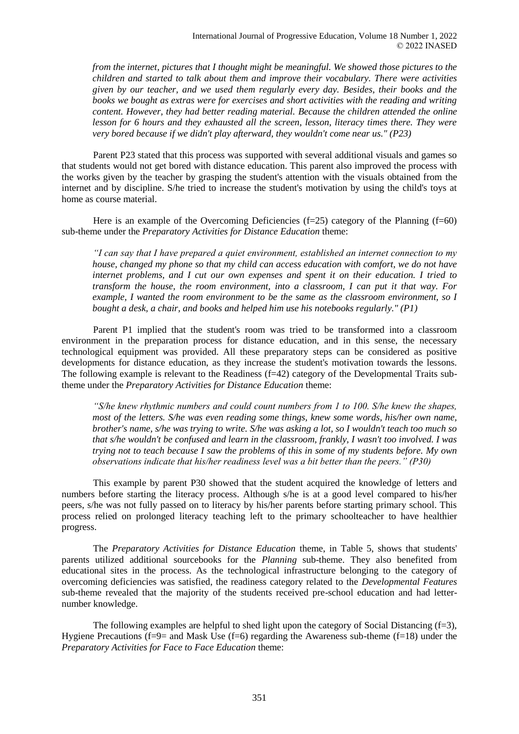*from the internet, pictures that I thought might be meaningful. We showed those pictures to the children and started to talk about them and improve their vocabulary. There were activities given by our teacher, and we used them regularly every day. Besides, their books and the books we bought as extras were for exercises and short activities with the reading and writing content. However, they had better reading material. Because the children attended the online lesson for 6 hours and they exhausted all the screen, lesson, literacy times there. They were very bored because if we didn't play afterward, they wouldn't come near us." (P23)*

Parent P23 stated that this process was supported with several additional visuals and games so that students would not get bored with distance education. This parent also improved the process with the works given by the teacher by grasping the student's attention with the visuals obtained from the internet and by discipline. S/he tried to increase the student's motivation by using the child's toys at home as course material.

Here is an example of the Overcoming Deficiencies  $(f=25)$  category of the Planning  $(f=60)$ sub-theme under the *Preparatory Activities for Distance Education* theme:

*"I can say that I have prepared a quiet environment, established an internet connection to my house, changed my phone so that my child can access education with comfort, we do not have internet problems, and I cut our own expenses and spent it on their education. I tried to transform the house, the room environment, into a classroom, I can put it that way. For example, I wanted the room environment to be the same as the classroom environment, so I bought a desk, a chair, and books and helped him use his notebooks regularly." (P1)*

Parent P1 implied that the student's room was tried to be transformed into a classroom environment in the preparation process for distance education, and in this sense, the necessary technological equipment was provided. All these preparatory steps can be considered as positive developments for distance education, as they increase the student's motivation towards the lessons. The following example is relevant to the Readiness (f=42) category of the Developmental Traits subtheme under the *Preparatory Activities for Distance Education* theme:

*"S/he knew rhythmic numbers and could count numbers from 1 to 100. S/he knew the shapes, most of the letters. S/he was even reading some things, knew some words, his/her own name, brother's name, s/he was trying to write. S/he was asking a lot, so I wouldn't teach too much so that s/he wouldn't be confused and learn in the classroom, frankly, I wasn't too involved. I was trying not to teach because I saw the problems of this in some of my students before. My own observations indicate that his/her readiness level was a bit better than the peers." (P30)*

This example by parent P30 showed that the student acquired the knowledge of letters and numbers before starting the literacy process. Although s/he is at a good level compared to his/her peers, s/he was not fully passed on to literacy by his/her parents before starting primary school. This process relied on prolonged literacy teaching left to the primary schoolteacher to have healthier progress.

The *Preparatory Activities for Distance Education* theme, in Table 5, shows that students' parents utilized additional sourcebooks for the *Planning* sub-theme. They also benefited from educational sites in the process. As the technological infrastructure belonging to the category of overcoming deficiencies was satisfied, the readiness category related to the *Developmental Features* sub-theme revealed that the majority of the students received pre-school education and had letternumber knowledge.

The following examples are helpful to shed light upon the category of Social Distancing  $(f=3)$ , Hygiene Precautions ( $f=9$ = and Mask Use ( $f=6$ ) regarding the Awareness sub-theme ( $f=18$ ) under the *Preparatory Activities for Face to Face Education* theme: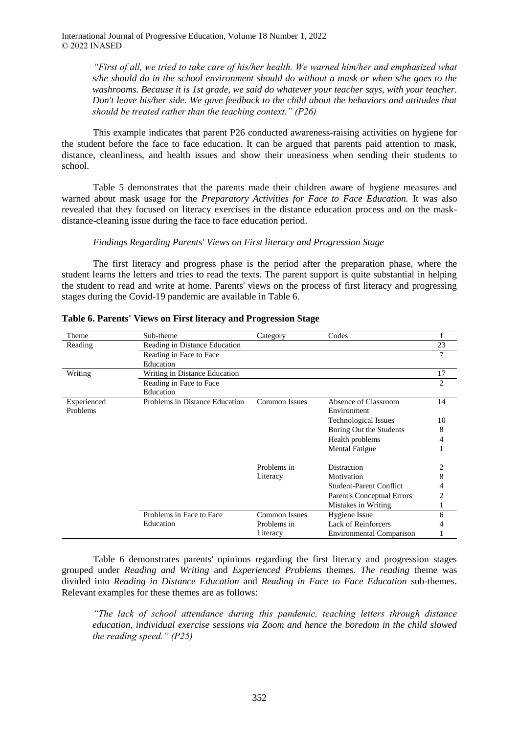> *"First of all, we tried to take care of his/her health. We warned him/her and emphasized what s/he should do in the school environment should do without a mask or when s/he goes to the washrooms. Because it is 1st grade, we said do whatever your teacher says, with your teacher. Don't leave his/her side. We gave feedback to the child about the behaviors and attitudes that should be treated rather than the teaching context." (P26)*

This example indicates that parent P26 conducted awareness-raising activities on hygiene for the student before the face to face education. It can be argued that parents paid attention to mask, distance, cleanliness, and health issues and show their uneasiness when sending their students to school.

Table 5 demonstrates that the parents made their children aware of hygiene measures and warned about mask usage for the *Preparatory Activities for Face to Face Education.* It was also revealed that they focused on literacy exercises in the distance education process and on the maskdistance-cleaning issue during the face to face education period.

#### *Findings Regarding Parents' Views on First literacy and Progression Stage*

The first literacy and progress phase is the period after the preparation phase, where the student learns the letters and tries to read the texts. The parent support is quite substantial in helping the student to read and write at home. Parents' views on the process of first literacy and progressing stages during the Covid-19 pandemic are available in Table 6.

| Theme       | Sub-theme                      | Category             | Codes                           | f              |
|-------------|--------------------------------|----------------------|---------------------------------|----------------|
| Reading     | Reading in Distance Education  |                      |                                 | 23             |
|             | Reading in Face to Face        |                      |                                 | 7              |
|             | Education                      |                      |                                 |                |
| Writing     | Writing in Distance Education  |                      |                                 | 17             |
|             | Reading in Face to Face        |                      |                                 | $\overline{c}$ |
|             | Education                      |                      |                                 |                |
| Experienced | Problems in Distance Education | <b>Common Issues</b> | Absence of Classroom            | 14             |
| Problems    |                                |                      | Environment                     |                |
|             |                                |                      | <b>Technological Issues</b>     | 10             |
|             |                                |                      | Boring Out the Students         | 8              |
|             |                                |                      | Health problems                 |                |
|             |                                |                      | <b>Mental Fatigue</b>           |                |
|             |                                | Problems in          | Distraction                     |                |
|             |                                | Literacy             | Motivation                      | 8              |
|             |                                |                      | <b>Student-Parent Conflict</b>  |                |
|             |                                |                      | Parent's Conceptual Errors      | 2              |
|             |                                |                      | Mistakes in Writing             |                |
|             | Problems in Face to Face       | <b>Common Issues</b> | Hygiene Issue                   | 6              |
|             | Education                      | Problems in          | Lack of Reinforcers             |                |
|             |                                | Literacy             | <b>Environmental Comparison</b> |                |

| Table 6. Parents' Views on First literacy and Progression Stage |  |  |
|-----------------------------------------------------------------|--|--|
|                                                                 |  |  |

Table 6 demonstrates parents' opinions regarding the first literacy and progression stages grouped under *Reading and Writing* and *Experienced Problems* themes. *The reading* theme was divided into *Reading in Distance Education* and *Reading in Face to Face Education* sub-themes. Relevant examples for these themes are as follows:

*"The lack of school attendance during this pandemic, teaching letters through distance education, individual exercise sessions via Zoom and hence the boredom in the child slowed the reading speed." (P25)*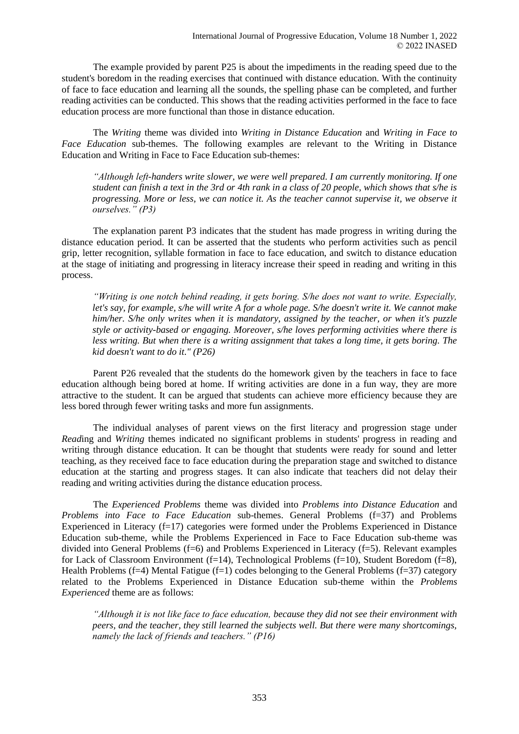The example provided by parent P25 is about the impediments in the reading speed due to the student's boredom in the reading exercises that continued with distance education. With the continuity of face to face education and learning all the sounds, the spelling phase can be completed, and further reading activities can be conducted. This shows that the reading activities performed in the face to face education process are more functional than those in distance education.

The *Writing* theme was divided into *Writing in Distance Education* and *Writing in Face to Face Education* sub-themes. The following examples are relevant to the Writing in Distance Education and Writing in Face to Face Education sub-themes:

*"Although left-handers write slower, we were well prepared. I am currently monitoring. If one student can finish a text in the 3rd or 4th rank in a class of 20 people, which shows that s/he is progressing. More or less, we can notice it. As the teacher cannot supervise it, we observe it ourselves." (P3)*

The explanation parent P3 indicates that the student has made progress in writing during the distance education period. It can be asserted that the students who perform activities such as pencil grip, letter recognition, syllable formation in face to face education, and switch to distance education at the stage of initiating and progressing in literacy increase their speed in reading and writing in this process.

*"Writing is one notch behind reading, it gets boring. S/he does not want to write. Especially, let's say, for example, s/he will write A for a whole page. S/he doesn't write it. We cannot make him/her. S/he only writes when it is mandatory, assigned by the teacher, or when it's puzzle style or activity-based or engaging. Moreover, s/he loves performing activities where there is less writing. But when there is a writing assignment that takes a long time, it gets boring. The kid doesn't want to do it." (P26)*

Parent P26 revealed that the students do the homework given by the teachers in face to face education although being bored at home. If writing activities are done in a fun way, they are more attractive to the student. It can be argued that students can achieve more efficiency because they are less bored through fewer writing tasks and more fun assignments.

The individual analyses of parent views on the first literacy and progression stage under *Read*ing and *Writing* themes indicated no significant problems in students' progress in reading and writing through distance education. It can be thought that students were ready for sound and letter teaching, as they received face to face education during the preparation stage and switched to distance education at the starting and progress stages. It can also indicate that teachers did not delay their reading and writing activities during the distance education process.

The *Experienced Problems* theme was divided into *Problems into Distance Education* and *Problems into Face to Face Education* sub-themes. General Problems (f=37) and Problems Experienced in Literacy (f=17) categories were formed under the Problems Experienced in Distance Education sub-theme, while the Problems Experienced in Face to Face Education sub-theme was divided into General Problems (f=6) and Problems Experienced in Literacy (f=5). Relevant examples for Lack of Classroom Environment (f=14), Technological Problems (f=10), Student Boredom (f=8), Health Problems (f=4) Mental Fatigue (f=1) codes belonging to the General Problems (f=37) category related to the Problems Experienced in Distance Education sub-theme within the *Problems Experienced* theme are as follows:

*"Although it is not like face to face education, because they did not see their environment with peers, and the teacher, they still learned the subjects well. But there were many shortcomings, namely the lack of friends and teachers." (P16)*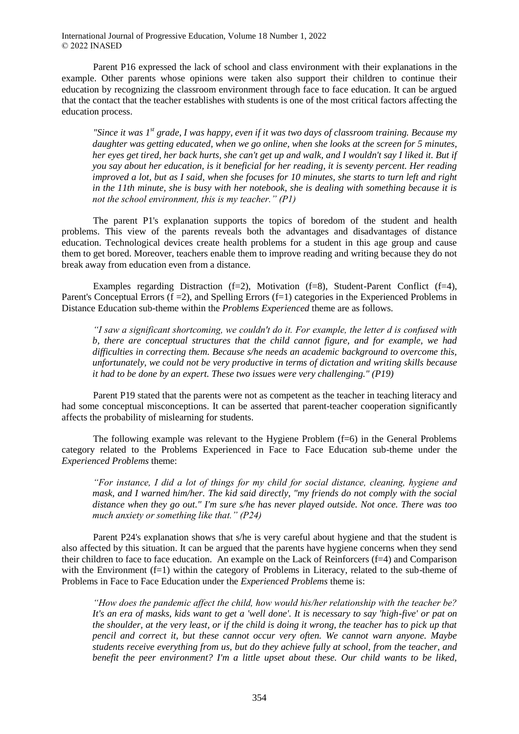Parent P16 expressed the lack of school and class environment with their explanations in the example. Other parents whose opinions were taken also support their children to continue their education by recognizing the classroom environment through face to face education. It can be argued that the contact that the teacher establishes with students is one of the most critical factors affecting the education process.

*"Since it was 1st grade, I was happy, even if it was two days of classroom training. Because my daughter was getting educated, when we go online, when she looks at the screen for 5 minutes, her eyes get tired, her back hurts, she can't get up and walk, and I wouldn't say I liked it. But if you say about her education, is it beneficial for her reading, it is seventy percent. Her reading improved a lot, but as I said, when she focuses for 10 minutes, she starts to turn left and right in the 11th minute, she is busy with her notebook, she is dealing with something because it is not the school environment, this is my teacher." (P1)*

The parent P1's explanation supports the topics of boredom of the student and health problems. This view of the parents reveals both the advantages and disadvantages of distance education. Technological devices create health problems for a student in this age group and cause them to get bored. Moreover, teachers enable them to improve reading and writing because they do not break away from education even from a distance.

Examples regarding Distraction  $(f=2)$ , Motivation  $(f=8)$ , Student-Parent Conflict  $(f=4)$ , Parent's Conceptual Errors  $(f = 2)$ , and Spelling Errors  $(f = 1)$  categories in the Experienced Problems in Distance Education sub-theme within the *Problems Experienced* theme are as follows.

*"I saw a significant shortcoming, we couldn't do it. For example, the letter d is confused with b, there are conceptual structures that the child cannot figure, and for example, we had difficulties in correcting them. Because s/he needs an academic background to overcome this, unfortunately, we could not be very productive in terms of dictation and writing skills because it had to be done by an expert. These two issues were very challenging." (P19)*

Parent P19 stated that the parents were not as competent as the teacher in teaching literacy and had some conceptual misconceptions. It can be asserted that parent-teacher cooperation significantly affects the probability of mislearning for students.

The following example was relevant to the Hygiene Problem  $(f=6)$  in the General Problems category related to the Problems Experienced in Face to Face Education sub-theme under the *Experienced Problems* theme:

*"For instance, I did a lot of things for my child for social distance, cleaning, hygiene and mask, and I warned him/her. The kid said directly, "my friends do not comply with the social distance when they go out." I'm sure s/he has never played outside. Not once. There was too much anxiety or something like that." (P24)*

Parent P24's explanation shows that s/he is very careful about hygiene and that the student is also affected by this situation. It can be argued that the parents have hygiene concerns when they send their children to face to face education. An example on the Lack of Reinforcers (f=4) and Comparison with the Environment  $(f=1)$  within the category of Problems in Literacy, related to the sub-theme of Problems in Face to Face Education under the *Experienced Problems* theme is:

*"How does the pandemic affect the child, how would his/her relationship with the teacher be? It's an era of masks, kids want to get a 'well done'. It is necessary to say 'high-five' or pat on the shoulder, at the very least, or if the child is doing it wrong, the teacher has to pick up that pencil and correct it, but these cannot occur very often. We cannot warn anyone. Maybe students receive everything from us, but do they achieve fully at school, from the teacher, and benefit the peer environment? I'm a little upset about these. Our child wants to be liked,*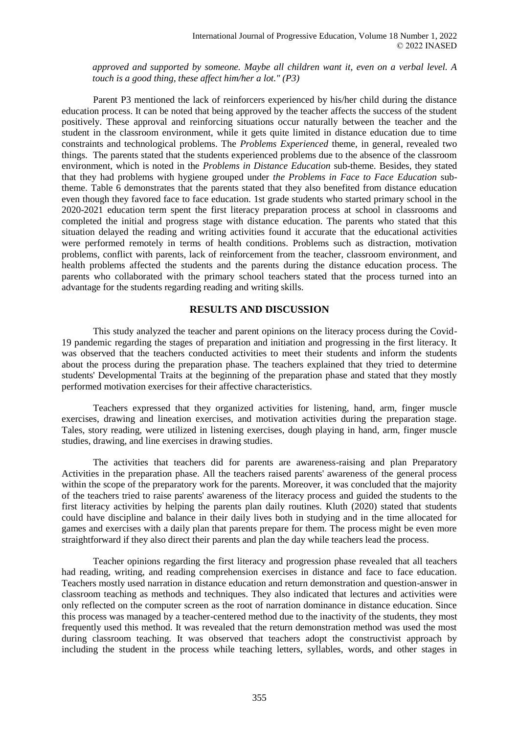*approved and supported by someone. Maybe all children want it, even on a verbal level. A touch is a good thing, these affect him/her a lot." (P3)*

Parent P3 mentioned the lack of reinforcers experienced by his/her child during the distance education process. It can be noted that being approved by the teacher affects the success of the student positively. These approval and reinforcing situations occur naturally between the teacher and the student in the classroom environment, while it gets quite limited in distance education due to time constraints and technological problems. The *Problems Experienced* theme, in general, revealed two things. The parents stated that the students experienced problems due to the absence of the classroom environment, which is noted in the *Problems in Distance Education* sub-theme. Besides, they stated that they had problems with hygiene grouped under *the Problems in Face to Face Education* subtheme. Table 6 demonstrates that the parents stated that they also benefited from distance education even though they favored face to face education. 1st grade students who started primary school in the 2020-2021 education term spent the first literacy preparation process at school in classrooms and completed the initial and progress stage with distance education. The parents who stated that this situation delayed the reading and writing activities found it accurate that the educational activities were performed remotely in terms of health conditions. Problems such as distraction, motivation problems, conflict with parents, lack of reinforcement from the teacher, classroom environment, and health problems affected the students and the parents during the distance education process. The parents who collaborated with the primary school teachers stated that the process turned into an advantage for the students regarding reading and writing skills.

### **RESULTS AND DISCUSSION**

This study analyzed the teacher and parent opinions on the literacy process during the Covid-19 pandemic regarding the stages of preparation and initiation and progressing in the first literacy. It was observed that the teachers conducted activities to meet their students and inform the students about the process during the preparation phase. The teachers explained that they tried to determine students' Developmental Traits at the beginning of the preparation phase and stated that they mostly performed motivation exercises for their affective characteristics.

Teachers expressed that they organized activities for listening, hand, arm, finger muscle exercises, drawing and lineation exercises, and motivation activities during the preparation stage. Tales, story reading, were utilized in listening exercises, dough playing in hand, arm, finger muscle studies, drawing, and line exercises in drawing studies.

The activities that teachers did for parents are awareness-raising and plan Preparatory Activities in the preparation phase. All the teachers raised parents' awareness of the general process within the scope of the preparatory work for the parents. Moreover, it was concluded that the majority of the teachers tried to raise parents' awareness of the literacy process and guided the students to the first literacy activities by helping the parents plan daily routines. Kluth (2020) stated that students could have discipline and balance in their daily lives both in studying and in the time allocated for games and exercises with a daily plan that parents prepare for them. The process might be even more straightforward if they also direct their parents and plan the day while teachers lead the process.

Teacher opinions regarding the first literacy and progression phase revealed that all teachers had reading, writing, and reading comprehension exercises in distance and face to face education. Teachers mostly used narration in distance education and return demonstration and question-answer in classroom teaching as methods and techniques. They also indicated that lectures and activities were only reflected on the computer screen as the root of narration dominance in distance education. Since this process was managed by a teacher-centered method due to the inactivity of the students, they most frequently used this method. It was revealed that the return demonstration method was used the most during classroom teaching. It was observed that teachers adopt the constructivist approach by including the student in the process while teaching letters, syllables, words, and other stages in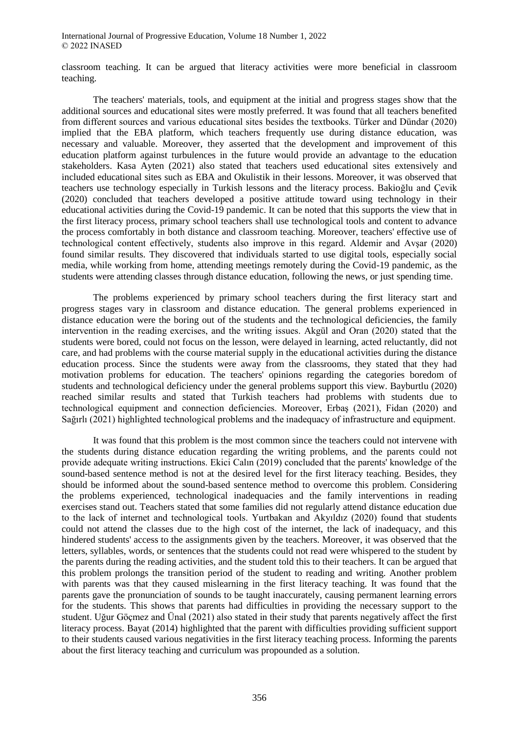classroom teaching. It can be argued that literacy activities were more beneficial in classroom teaching.

The teachers' materials, tools, and equipment at the initial and progress stages show that the additional sources and educational sites were mostly preferred. It was found that all teachers benefited from different sources and various educational sites besides the textbooks. Türker and Dündar (2020) implied that the EBA platform, which teachers frequently use during distance education, was necessary and valuable. Moreover, they asserted that the development and improvement of this education platform against turbulences in the future would provide an advantage to the education stakeholders. Kasa Ayten (2021) also stated that teachers used educational sites extensively and included educational sites such as EBA and Okulistik in their lessons. Moreover, it was observed that teachers use technology especially in Turkish lessons and the literacy process. Bakioğlu and Çevik (2020) concluded that teachers developed a positive attitude toward using technology in their educational activities during the Covid-19 pandemic. It can be noted that this supports the view that in the first literacy process, primary school teachers shall use technological tools and content to advance the process comfortably in both distance and classroom teaching. Moreover, teachers' effective use of technological content effectively, students also improve in this regard. Aldemir and Avşar (2020) found similar results. They discovered that individuals started to use digital tools, especially social media, while working from home, attending meetings remotely during the Covid-19 pandemic, as the students were attending classes through distance education, following the news, or just spending time.

The problems experienced by primary school teachers during the first literacy start and progress stages vary in classroom and distance education. The general problems experienced in distance education were the boring out of the students and the technological deficiencies, the family intervention in the reading exercises, and the writing issues. Akgül and Oran (2020) stated that the students were bored, could not focus on the lesson, were delayed in learning, acted reluctantly, did not care, and had problems with the course material supply in the educational activities during the distance education process. Since the students were away from the classrooms, they stated that they had motivation problems for education. The teachers' opinions regarding the categories boredom of students and technological deficiency under the general problems support this view. Bayburtlu (2020) reached similar results and stated that Turkish teachers had problems with students due to technological equipment and connection deficiencies. Moreover, Erbaş (2021), Fidan (2020) and Sağırlı (2021) highlighted technological problems and the inadequacy of infrastructure and equipment.

It was found that this problem is the most common since the teachers could not intervene with the students during distance education regarding the writing problems, and the parents could not provide adequate writing instructions. Ekici Calın (2019) concluded that the parents' knowledge of the sound-based sentence method is not at the desired level for the first literacy teaching. Besides, they should be informed about the sound-based sentence method to overcome this problem. Considering the problems experienced, technological inadequacies and the family interventions in reading exercises stand out. Teachers stated that some families did not regularly attend distance education due to the lack of internet and technological tools. Yurtbakan and Akyıldız (2020) found that students could not attend the classes due to the high cost of the internet, the lack of inadequacy, and this hindered students' access to the assignments given by the teachers. Moreover, it was observed that the letters, syllables, words, or sentences that the students could not read were whispered to the student by the parents during the reading activities, and the student told this to their teachers. It can be argued that this problem prolongs the transition period of the student to reading and writing. Another problem with parents was that they caused mislearning in the first literacy teaching. It was found that the parents gave the pronunciation of sounds to be taught inaccurately, causing permanent learning errors for the students. This shows that parents had difficulties in providing the necessary support to the student. Uğur Göçmez and Ünal (2021) also stated in their study that parents negatively affect the first literacy process. Bayat (2014) highlighted that the parent with difficulties providing sufficient support to their students caused various negativities in the first literacy teaching process. Informing the parents about the first literacy teaching and curriculum was propounded as a solution.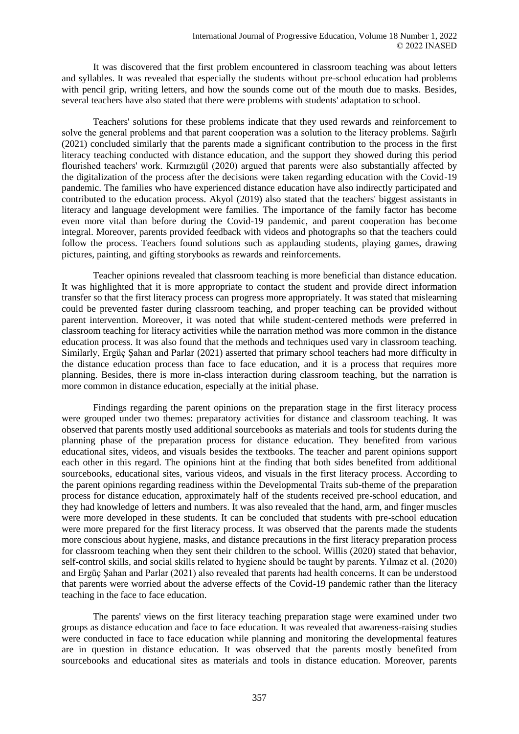It was discovered that the first problem encountered in classroom teaching was about letters and syllables. It was revealed that especially the students without pre-school education had problems with pencil grip, writing letters, and how the sounds come out of the mouth due to masks. Besides, several teachers have also stated that there were problems with students' adaptation to school.

Teachers' solutions for these problems indicate that they used rewards and reinforcement to solve the general problems and that parent cooperation was a solution to the literacy problems. Sağırlı (2021) concluded similarly that the parents made a significant contribution to the process in the first literacy teaching conducted with distance education, and the support they showed during this period flourished teachers' work. Kırmızıgül (2020) argued that parents were also substantially affected by the digitalization of the process after the decisions were taken regarding education with the Covid-19 pandemic. The families who have experienced distance education have also indirectly participated and contributed to the education process. Akyol (2019) also stated that the teachers' biggest assistants in literacy and language development were families. The importance of the family factor has become even more vital than before during the Covid-19 pandemic, and parent cooperation has become integral. Moreover, parents provided feedback with videos and photographs so that the teachers could follow the process. Teachers found solutions such as applauding students, playing games, drawing pictures, painting, and gifting storybooks as rewards and reinforcements.

Teacher opinions revealed that classroom teaching is more beneficial than distance education. It was highlighted that it is more appropriate to contact the student and provide direct information transfer so that the first literacy process can progress more appropriately. It was stated that mislearning could be prevented faster during classroom teaching, and proper teaching can be provided without parent intervention. Moreover, it was noted that while student-centered methods were preferred in classroom teaching for literacy activities while the narration method was more common in the distance education process. It was also found that the methods and techniques used vary in classroom teaching. Similarly, Ergüç Şahan and Parlar (2021) asserted that primary school teachers had more difficulty in the distance education process than face to face education, and it is a process that requires more planning. Besides, there is more in-class interaction during classroom teaching, but the narration is more common in distance education, especially at the initial phase.

Findings regarding the parent opinions on the preparation stage in the first literacy process were grouped under two themes: preparatory activities for distance and classroom teaching. It was observed that parents mostly used additional sourcebooks as materials and tools for students during the planning phase of the preparation process for distance education. They benefited from various educational sites, videos, and visuals besides the textbooks. The teacher and parent opinions support each other in this regard. The opinions hint at the finding that both sides benefited from additional sourcebooks, educational sites, various videos, and visuals in the first literacy process. According to the parent opinions regarding readiness within the Developmental Traits sub-theme of the preparation process for distance education, approximately half of the students received pre-school education, and they had knowledge of letters and numbers. It was also revealed that the hand, arm, and finger muscles were more developed in these students. It can be concluded that students with pre-school education were more prepared for the first literacy process. It was observed that the parents made the students more conscious about hygiene, masks, and distance precautions in the first literacy preparation process for classroom teaching when they sent their children to the school. Willis (2020) stated that behavior, self-control skills, and social skills related to hygiene should be taught by parents. Yılmaz et al. (2020) and Ergüç Şahan and Parlar (2021) also revealed that parents had health concerns. It can be understood that parents were worried about the adverse effects of the Covid-19 pandemic rather than the literacy teaching in the face to face education.

The parents' views on the first literacy teaching preparation stage were examined under two groups as distance education and face to face education. It was revealed that awareness-raising studies were conducted in face to face education while planning and monitoring the developmental features are in question in distance education. It was observed that the parents mostly benefited from sourcebooks and educational sites as materials and tools in distance education. Moreover, parents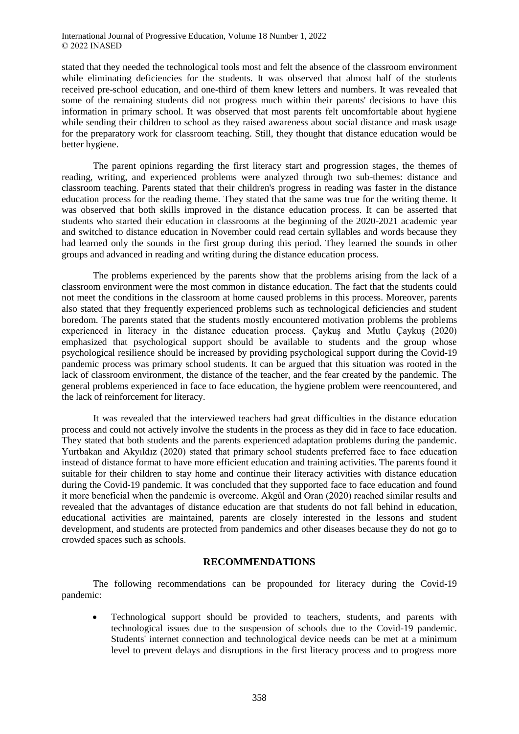stated that they needed the technological tools most and felt the absence of the classroom environment while eliminating deficiencies for the students. It was observed that almost half of the students received pre-school education, and one-third of them knew letters and numbers. It was revealed that some of the remaining students did not progress much within their parents' decisions to have this information in primary school. It was observed that most parents felt uncomfortable about hygiene while sending their children to school as they raised awareness about social distance and mask usage for the preparatory work for classroom teaching. Still, they thought that distance education would be better hygiene.

The parent opinions regarding the first literacy start and progression stages, the themes of reading, writing, and experienced problems were analyzed through two sub-themes: distance and classroom teaching. Parents stated that their children's progress in reading was faster in the distance education process for the reading theme. They stated that the same was true for the writing theme. It was observed that both skills improved in the distance education process. It can be asserted that students who started their education in classrooms at the beginning of the 2020-2021 academic year and switched to distance education in November could read certain syllables and words because they had learned only the sounds in the first group during this period. They learned the sounds in other groups and advanced in reading and writing during the distance education process.

The problems experienced by the parents show that the problems arising from the lack of a classroom environment were the most common in distance education. The fact that the students could not meet the conditions in the classroom at home caused problems in this process. Moreover, parents also stated that they frequently experienced problems such as technological deficiencies and student boredom. The parents stated that the students mostly encountered motivation problems the problems experienced in literacy in the distance education process. Çaykuş and Mutlu Çaykuş (2020) emphasized that psychological support should be available to students and the group whose psychological resilience should be increased by providing psychological support during the Covid-19 pandemic process was primary school students. It can be argued that this situation was rooted in the lack of classroom environment, the distance of the teacher, and the fear created by the pandemic. The general problems experienced in face to face education, the hygiene problem were reencountered, and the lack of reinforcement for literacy.

It was revealed that the interviewed teachers had great difficulties in the distance education process and could not actively involve the students in the process as they did in face to face education. They stated that both students and the parents experienced adaptation problems during the pandemic. Yurtbakan and Akyıldız (2020) stated that primary school students preferred face to face education instead of distance format to have more efficient education and training activities. The parents found it suitable for their children to stay home and continue their literacy activities with distance education during the Covid-19 pandemic. It was concluded that they supported face to face education and found it more beneficial when the pandemic is overcome. Akgül and Oran (2020) reached similar results and revealed that the advantages of distance education are that students do not fall behind in education, educational activities are maintained, parents are closely interested in the lessons and student development, and students are protected from pandemics and other diseases because they do not go to crowded spaces such as schools.

# **RECOMMENDATIONS**

The following recommendations can be propounded for literacy during the Covid-19 pandemic:

 Technological support should be provided to teachers, students, and parents with technological issues due to the suspension of schools due to the Covid-19 pandemic. Students' internet connection and technological device needs can be met at a minimum level to prevent delays and disruptions in the first literacy process and to progress more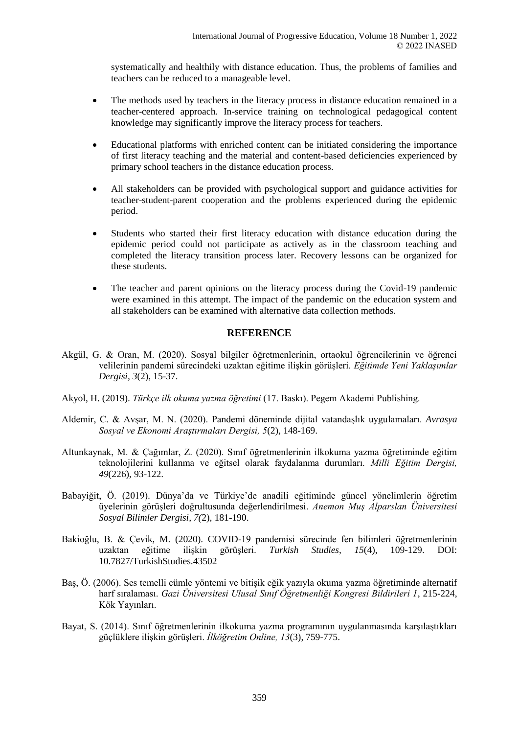systematically and healthily with distance education. Thus, the problems of families and teachers can be reduced to a manageable level.

- The methods used by teachers in the literacy process in distance education remained in a teacher-centered approach. In-service training on technological pedagogical content knowledge may significantly improve the literacy process for teachers.
- Educational platforms with enriched content can be initiated considering the importance of first literacy teaching and the material and content-based deficiencies experienced by primary school teachers in the distance education process.
- All stakeholders can be provided with psychological support and guidance activities for teacher-student-parent cooperation and the problems experienced during the epidemic period.
- Students who started their first literacy education with distance education during the epidemic period could not participate as actively as in the classroom teaching and completed the literacy transition process later. Recovery lessons can be organized for these students.
- The teacher and parent opinions on the literacy process during the Covid-19 pandemic were examined in this attempt. The impact of the pandemic on the education system and all stakeholders can be examined with alternative data collection methods.

# **REFERENCE**

- Akgül, G. & Oran, M. (2020). Sosyal bilgiler öğretmenlerinin, ortaokul öğrencilerinin ve öğrenci velilerinin pandemi sürecindeki uzaktan eğitime ilişkin görüşleri. *Eğitimde Yeni Yaklaşımlar Dergisi, 3*(2), 15-37.
- Akyol, H. (2019). *Türkçe ilk okuma yazma öğretimi* (17. Baskı). Pegem Akademi Publishing.
- Aldemir, C. & Avşar, M. N. (2020). Pandemi döneminde dijital vatandaşlık uygulamaları. *Avrasya Sosyal ve Ekonomi Araştırmaları Dergisi, 5*(2), 148-169.
- Altunkaynak, M. & Çağımlar, Z. (2020). Sınıf öğretmenlerinin ilkokuma yazma öğretiminde eğitim teknolojilerini kullanma ve eğitsel olarak faydalanma durumları*. Milli Eğitim Dergisi, 49*(226), 93-122.
- Babayiğit, Ö. (2019). Dünya'da ve Türkiye'de anadili eğitiminde güncel yönelimlerin öğretim üyelerinin görüşleri doğrultusunda değerlendirilmesi. *Anemon Muş Alparslan Üniversitesi Sosyal Bilimler Dergisi, 7(*2), 181-190.
- Bakioğlu, B. & Çevik, M. (2020). COVID-19 pandemisi sürecinde fen bilimleri öğretmenlerinin uzaktan eğitime ilişkin görüşleri. *Turkish Studies, 15*(4), 109-129. DOI: 10.7827/TurkishStudies.43502
- Baş, Ö. (2006). Ses temelli cümle yöntemi ve bitişik eğik yazıyla okuma yazma öğretiminde alternatif harf sıralaması. *Gazi Üniversitesi Ulusal Sınıf Öğretmenliği Kongresi Bildirileri 1*, 215-224, Kök Yayınları.
- Bayat, S. (2014). Sınıf öğretmenlerinin ilkokuma yazma programının uygulanmasında karşılaştıkları güçlüklere ilişkin görüşleri. *İlköğretim Online, 13*(3), 759-775.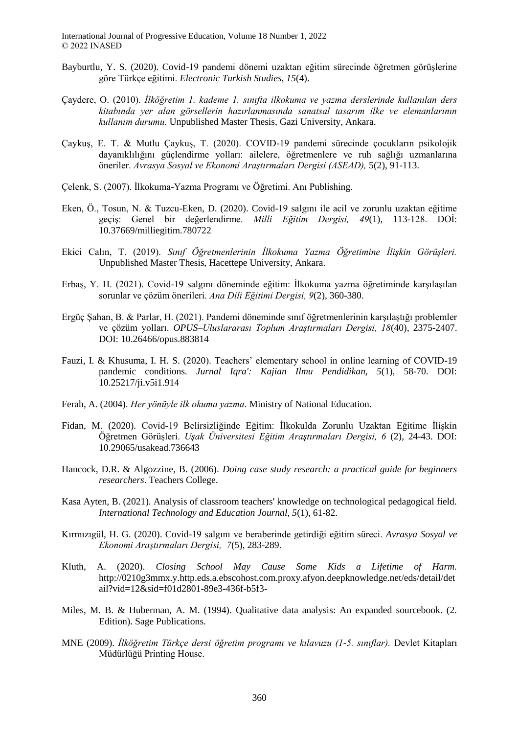- Bayburtlu, Y. S. (2020). Covid-19 pandemi dönemi uzaktan eğitim sürecinde öğretmen görüşlerine göre Türkçe eğitimi. *Electronic Turkish Studies, 15*(4).
- Çaydere, O. (2010). *İlköğretim 1. kademe 1. sınıfta ilkokuma ve yazma derslerinde kullanılan ders kitabında yer alan görsellerin hazırlanmasında sanatsal tasarım ilke ve elemanlarının kullanım durumu.* Unpublished Master Thesis, Gazi University, Ankara.
- Çaykuş, E. T. & Mutlu Çaykuş, T. (2020). COVID-19 pandemi sürecinde çocukların psikolojik dayanıklılığını güçlendirme yolları: ailelere, öğretmenlere ve ruh sağlığı uzmanlarına öneriler. *Avrasya Sosyal ve Ekonomi Araştırmaları Dergisi (ASEAD),* 5(2), 91-113.
- Çelenk, S. (2007). İlkokuma-Yazma Programı ve Öğretimi. Anı Publishing.
- Eken, Ö., Tosun, N. & Tuzcu-Eken, D. (2020). Covid-19 salgını ile acil ve zorunlu uzaktan eğitime geçiş: Genel bir değerlendirme. *Milli Eğitim Dergisi, 49*(1), 113-128. DOİ: 10.37669/milliegitim.780722
- Ekici Calın, T. (2019). *Sınıf Öğretmenlerinin İlkokuma Yazma Öğretimine İlişkin Görüşleri.* Unpublished Master Thesis, Hacettepe University, Ankara.
- Erbaş, Y. H. (2021). Covid-19 salgını döneminde eğitim: İlkokuma yazma öğretiminde karşılaşılan sorunlar ve çözüm önerileri. *Ana Dili Eğitimi Dergisi, 9*(2), 360-380.
- Ergüç Şahan, B. & Parlar, H. (2021). Pandemi döneminde sınıf öğretmenlerinin karşılaştığı problemler ve çözüm yolları. *OPUS–Uluslararası Toplum Araştırmaları Dergisi, 18*(40), 2375-2407. DOI: 10.26466/opus.883814
- Fauzi, I. & Khusuma, I. H. S. (2020). Teachers' elementary school in online learning of COVID-19 pandemic conditions. *Jurnal Iqra': Kajian Ilmu Pendidikan, 5*(1), 58-70. DOI: 10.25217/ji.v5i1.914
- Ferah, A. (2004). *Her yönüyle ilk okuma yazma*. Ministry of National Education.
- Fidan, M. (2020). Covid-19 Belirsizliğinde Eğitim: İlkokulda Zorunlu Uzaktan Eğitime İliskin Öğretmen Görüşleri. *Uşak Üniversitesi Eğitim Araştırmaları Dergisi, 6* (2), 24-43. DOI: 10.29065/usakead.736643
- Hancock, D.R. & Algozzine, B. (2006). *Doing case study research: a practical guide for beginners researchers*. Teachers College.
- Kasa Ayten, B. (2021). Analysis of classroom teachers' knowledge on technological pedagogical field. *International Technology and Education Journal, 5*(1), 61-82.
- Kırmızıgül, H. G. (2020). Covid-19 salgını ve beraberinde getirdiği eğitim süreci. *Avrasya Sosyal ve Ekonomi Araştırmaları Dergisi, 7*(5), 283-289.
- Kluth, A. (2020). *Closing School May Cause Some Kids a Lifetime of Harm.* http://0210g3mmx.y.http.eds.a.ebscohost.com.proxy.afyon.deepknowledge.net/eds/detail/det ail?vid=12&sid=f01d2801-89e3-436f-b5f3-
- Miles, M. B. & Huberman, A. M. (1994). Qualitative data analysis: An expanded sourcebook. (2. Edition). Sage Publications.
- MNE (2009). *İlköğretim Türkçe dersi öğretim programı ve kılavuzu (1-5. sınıflar).* Devlet Kitapları Müdürlüğü Printing House.